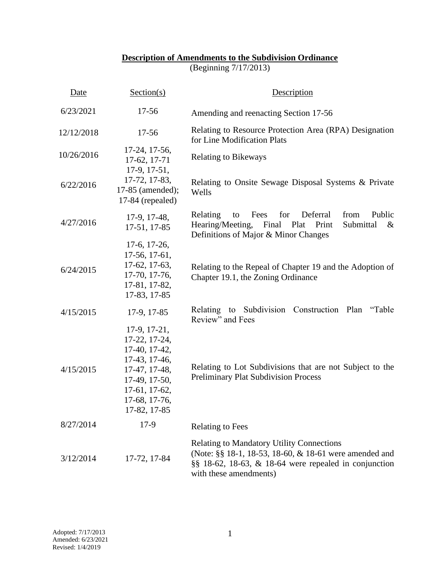## **Description of Amendments to the Subdivision Ordinance**

(Beginning 7/17/2013)

| Date       | Section(s)                                                                                                                                          | Description                                                                                                                                                                                       |
|------------|-----------------------------------------------------------------------------------------------------------------------------------------------------|---------------------------------------------------------------------------------------------------------------------------------------------------------------------------------------------------|
| 6/23/2021  | 17-56                                                                                                                                               | Amending and reenacting Section 17-56                                                                                                                                                             |
| 12/12/2018 | $17 - 56$                                                                                                                                           | Relating to Resource Protection Area (RPA) Designation<br>for Line Modification Plats                                                                                                             |
| 10/26/2016 | 17-24, 17-56,<br>17-62, 17-71<br>$17-9, 17-51,$                                                                                                     | <b>Relating to Bikeways</b>                                                                                                                                                                       |
| 6/22/2016  | 17-72, 17-83,<br>17-85 (amended);<br>$17-84$ (repealed)                                                                                             | Relating to Onsite Sewage Disposal Systems & Private<br>Wells                                                                                                                                     |
| 4/27/2016  | 17-9, 17-48,<br>17-51, 17-85                                                                                                                        | Public<br>Fees<br>for<br>Deferral<br>from<br>Relating<br>to<br>Hearing/Meeting,<br>Final<br>Plat<br>Print<br>Submittal<br>$\&$<br>Definitions of Major & Minor Changes                            |
| 6/24/2015  | $17-6$ , $17-26$ ,<br>17-56, 17-61,<br>17-62, 17-63,<br>17-70, 17-76,<br>17-81, 17-82,<br>17-83, 17-85                                              | Relating to the Repeal of Chapter 19 and the Adoption of<br>Chapter 19.1, the Zoning Ordinance                                                                                                    |
| 4/15/2015  | 17-9, 17-85                                                                                                                                         | Relating to Subdivision Construction Plan<br>"Table"<br>Review" and Fees                                                                                                                          |
| 4/15/2015  | 17-9, 17-21,<br>17-22, 17-24,<br>17-40, 17-42,<br>17-43, 17-46,<br>17-47, 17-48,<br>17-49, 17-50,<br>17-61, 17-62,<br>17-68, 17-76,<br>17-82, 17-85 | Relating to Lot Subdivisions that are not Subject to the<br><b>Preliminary Plat Subdivision Process</b>                                                                                           |
| 8/27/2014  | $17-9$                                                                                                                                              | <b>Relating to Fees</b>                                                                                                                                                                           |
| 3/12/2014  | 17-72, 17-84                                                                                                                                        | <b>Relating to Mandatory Utility Connections</b><br>(Note: §§ 18-1, 18-53, 18-60, & 18-61 were amended and<br>$\S$ § 18-62, 18-63, & 18-64 were repealed in conjunction<br>with these amendments) |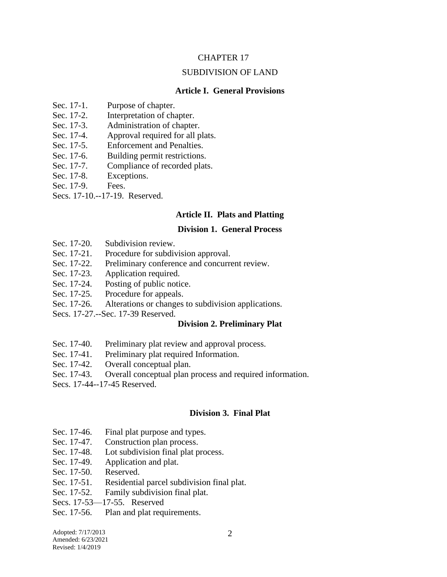#### CHAPTER 17

#### SUBDIVISION OF LAND

#### **Article I. General Provisions**

- Sec. 17-1. Purpose of chapter.
- Sec. 17-2. Interpretation of chapter.
- Sec. 17-3. Administration of chapter.
- Sec. 17-4. Approval required for all plats.
- Sec. 17-5. Enforcement and Penalties.
- Sec. 17-6. Building permit restrictions.
- Sec. 17-7. Compliance of recorded plats.
- Sec. 17-8. Exceptions.
- Sec. 17-9. Fees.
- Secs. 17-10.--17-19. Reserved.

#### **Article II. Plats and Platting**

#### **Division 1. General Process**

- Sec. 17-20. Subdivision review.
- Sec. 17-21. Procedure for subdivision approval.
- Sec. 17-22. Preliminary conference and concurrent review.
- Sec. 17-23. Application required.
- Sec. 17-24. Posting of public notice.
- Sec. 17-25. Procedure for appeals.
- Sec. 17-26. Alterations or changes to subdivision applications.
- Secs. 17-27.--Sec. 17-39 Reserved.

#### **Division 2. Preliminary Plat**

- Sec. 17-40. Preliminary plat review and approval process.
- Sec. 17-41. Preliminary plat required Information.
- Sec. 17-42. Overall conceptual plan.
- Sec. 17-43. Overall conceptual plan process and required information.
- Secs. 17-44--17-45 Reserved.

#### **Division 3. Final Plat**

- Sec. 17-46. Final plat purpose and types.
- Sec. 17-47. Construction plan process.
- Sec. 17-48. Lot subdivision final plat process.
- Sec. 17-49. Application and plat.
- Sec. 17-50. Reserved.
- Sec. 17-51. Residential parcel subdivision final plat.
- Sec. 17-52. Family subdivision final plat.
- Secs. 17-53—17-55. Reserved
- Sec. 17-56. Plan and plat requirements.

Adopted: 7/17/2013 Amended: 6/23/2021 Revised: 1/4/2019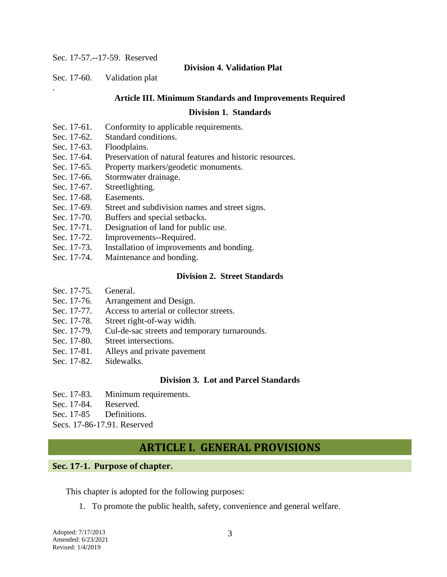Sec. 17-57.--17-59. Reserved

#### **Division 4. Validation Plat**

Sec. 17-60. Validation plat

.

#### **Article III. Minimum Standards and Improvements Required**

#### **Division 1. Standards**

- Sec. 17-61. Conformity to applicable requirements.
- Sec. 17-62. Standard conditions.
- Sec. 17-63. Floodplains.
- Sec. 17-64. Preservation of natural features and historic resources.
- Sec. 17-65. Property markers/geodetic monuments.
- Sec. 17-66. Stormwater drainage.
- Sec. 17-67. Streetlighting.
- Sec. 17-68. Easements.
- Sec. 17-69. Street and subdivision names and street signs.
- Sec. 17-70. Buffers and special setbacks.
- Sec. 17-71. Designation of land for public use.
- Sec. 17-72. Improvements--Required.
- Sec. 17-73. Installation of improvements and bonding.
- Sec. 17-74. Maintenance and bonding.

#### **Division 2. Street Standards**

- Sec. 17-75. General.
- Sec. 17-76. Arrangement and Design.
- Sec. 17-77. Access to arterial or collector streets.
- Sec. 17-78. Street right-of-way width.
- Sec. 17-79. Cul-de-sac streets and temporary turnarounds.
- Sec. 17-80. Street intersections.
- Sec. 17-81. Alleys and private pavement
- Sec. 17-82. Sidewalks.

#### **Division 3. Lot and Parcel Standards**

- Sec. 17-83. Minimum requirements.
- Sec. 17-84. Reserved.
- Sec. 17-85 Definitions.

Secs. 17-86-17.91. Reserved

# **ARTICLE I. GENERAL PROVISIONS**

#### **Sec. 17-1. Purpose of chapter.**

This chapter is adopted for the following purposes:

1. To promote the public health, safety, convenience and general welfare.

Adopted: 7/17/2013 Amended: 6/23/2021 Revised: 1/4/2019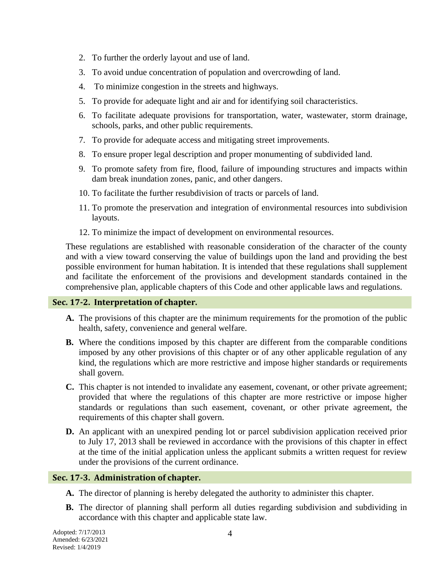- 2. To further the orderly layout and use of land.
- 3. To avoid undue concentration of population and overcrowding of land.
- 4. To minimize congestion in the streets and highways.
- 5. To provide for adequate light and air and for identifying soil characteristics.
- 6. To facilitate adequate provisions for transportation, water, wastewater, storm drainage, schools, parks, and other public requirements.
- 7. To provide for adequate access and mitigating street improvements.
- 8. To ensure proper legal description and proper monumenting of subdivided land.
- 9. To promote safety from fire, flood, failure of impounding structures and impacts within dam break inundation zones, panic, and other dangers.
- 10. To facilitate the further resubdivision of tracts or parcels of land.
- 11. To promote the preservation and integration of environmental resources into subdivision layouts.
- 12. To minimize the impact of development on environmental resources.

These regulations are established with reasonable consideration of the character of the county and with a view toward conserving the value of buildings upon the land and providing the best possible environment for human habitation. It is intended that these regulations shall supplement and facilitate the enforcement of the provisions and development standards contained in the comprehensive plan, applicable chapters of this Code and other applicable laws and regulations.

## **Sec. 17-2. Interpretation of chapter.**

- **A.** The provisions of this chapter are the minimum requirements for the promotion of the public health, safety, convenience and general welfare.
- **B.** Where the conditions imposed by this chapter are different from the comparable conditions imposed by any other provisions of this chapter or of any other applicable regulation of any kind, the regulations which are more restrictive and impose higher standards or requirements shall govern.
- **C.** This chapter is not intended to invalidate any easement, covenant, or other private agreement; provided that where the regulations of this chapter are more restrictive or impose higher standards or regulations than such easement, covenant, or other private agreement, the requirements of this chapter shall govern.
- **D.** An applicant with an unexpired pending lot or parcel subdivision application received prior to July 17, 2013 shall be reviewed in accordance with the provisions of this chapter in effect at the time of the initial application unless the applicant submits a written request for review under the provisions of the current ordinance.

## **Sec. 17-3. Administration of chapter.**

- **A.** The director of planning is hereby delegated the authority to administer this chapter.
- **B.** The director of planning shall perform all duties regarding subdivision and subdividing in accordance with this chapter and applicable state law.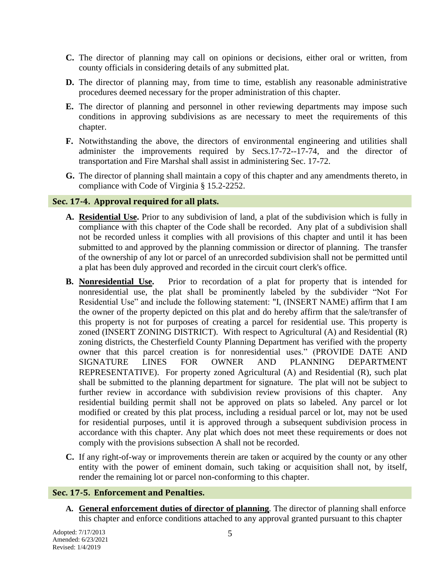- **C.** The director of planning may call on opinions or decisions, either oral or written, from county officials in considering details of any submitted plat.
- **D.** The director of planning may, from time to time, establish any reasonable administrative procedures deemed necessary for the proper administration of this chapter.
- **E.** The director of planning and personnel in other reviewing departments may impose such conditions in approving subdivisions as are necessary to meet the requirements of this chapter.
- **F.** Notwithstanding the above, the directors of environmental engineering and utilities shall administer the improvements required by Secs.17-72--17-74, and the director of transportation and Fire Marshal shall assist in administering Sec. 17-72.
- **G.** The director of planning shall maintain a copy of this chapter and any amendments thereto, in compliance with Code of Virginia § 15.2-2252.

#### **Sec. 17-4. Approval required for all plats.**

- **A. Residential Use.** Prior to any subdivision of land, a plat of the subdivision which is fully in compliance with this chapter of the Code shall be recorded. Any plat of a subdivision shall not be recorded unless it complies with all provisions of this chapter and until it has been submitted to and approved by the planning commission or director of planning. The transfer of the ownership of any lot or parcel of an unrecorded subdivision shall not be permitted until a plat has been duly approved and recorded in the circuit court clerk's office.
- **B. Nonresidential Use.** Prior to recordation of a plat for property that is intended for nonresidential use, the plat shall be prominently labeled by the subdivider "Not For Residential Use" and include the following statement: "I, (INSERT NAME) affirm that I am the owner of the property depicted on this plat and do hereby affirm that the sale/transfer of this property is not for purposes of creating a parcel for residential use. This property is zoned (INSERT ZONING DISTRICT). With respect to Agricultural (A) and Residential (R) zoning districts, the Chesterfield County Planning Department has verified with the property owner that this parcel creation is for nonresidential uses." (PROVIDE DATE AND SIGNATURE LINES FOR OWNER AND PLANNING DEPARTMENT REPRESENTATIVE). For property zoned Agricultural (A) and Residential (R), such plat shall be submitted to the planning department for signature. The plat will not be subject to further review in accordance with subdivision review provisions of this chapter. Any residential building permit shall not be approved on plats so labeled. Any parcel or lot modified or created by this plat process, including a residual parcel or lot, may not be used for residential purposes, until it is approved through a subsequent subdivision process in accordance with this chapter. Any plat which does not meet these requirements or does not comply with the provisions subsection A shall not be recorded.
- **C.** If any right-of-way or improvements therein are taken or acquired by the county or any other entity with the power of eminent domain, such taking or acquisition shall not, by itself, render the remaining lot or parcel non-conforming to this chapter.

#### **Sec. 17-5. Enforcement and Penalties.**

**A. General enforcement duties of director of planning***.* The director of planning shall enforce this chapter and enforce conditions attached to any approval granted pursuant to this chapter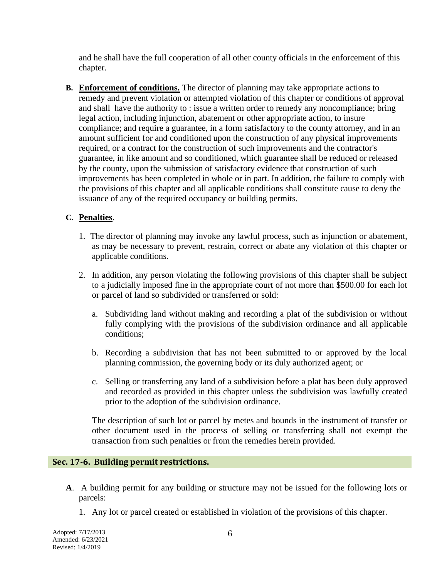and he shall have the full cooperation of all other county officials in the enforcement of this chapter.

**B. Enforcement of conditions.** The director of planning may take appropriate actions to remedy and prevent violation or attempted violation of this chapter or conditions of approval and shall have the authority to : issue a written order to remedy any noncompliance; bring legal action, including injunction, abatement or other appropriate action, to insure compliance; and require a guarantee, in a form satisfactory to the county attorney, and in an amount sufficient for and conditioned upon the construction of any physical improvements required, or a contract for the construction of such improvements and the contractor's guarantee, in like amount and so conditioned, which guarantee shall be reduced or released by the county, upon the submission of satisfactory evidence that construction of such improvements has been completed in whole or in part. In addition, the failure to comply with the provisions of this chapter and all applicable conditions shall constitute cause to deny the issuance of any of the required occupancy or building permits.

#### **C. Penalties**.

- 1. The director of planning may invoke any lawful process, such as injunction or abatement, as may be necessary to prevent, restrain, correct or abate any violation of this chapter or applicable conditions.
- 2. In addition, any person violating the following provisions of this chapter shall be subject to a judicially imposed fine in the appropriate court of not more than \$500.00 for each lot or parcel of land so subdivided or transferred or sold:
	- a. Subdividing land without making and recording a plat of the subdivision or without fully complying with the provisions of the subdivision ordinance and all applicable conditions;
	- b. Recording a subdivision that has not been submitted to or approved by the local planning commission, the governing body or its duly authorized agent; or
	- c. Selling or transferring any land of a subdivision before a plat has been duly approved and recorded as provided in this chapter unless the subdivision was lawfully created prior to the adoption of the subdivision ordinance.

The description of such lot or parcel by metes and bounds in the instrument of transfer or other document used in the process of selling or transferring shall not exempt the transaction from such penalties or from the remedies herein provided.

#### **Sec. 17-6. Building permit restrictions.**

- **A**. A building permit for any building or structure may not be issued for the following lots or parcels:
	- 1. Any lot or parcel created or established in violation of the provisions of this chapter.

Adopted: 7/17/2013 Amended: 6/23/2021 Revised: 1/4/2019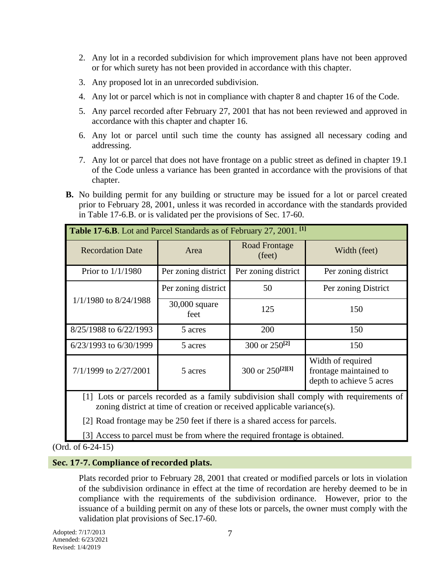- 2. Any lot in a recorded subdivision for which improvement plans have not been approved or for which surety has not been provided in accordance with this chapter.
- 3. Any proposed lot in an unrecorded subdivision.
- 4. Any lot or parcel which is not in compliance with chapter 8 and chapter 16 of the Code.
- 5. Any parcel recorded after February 27, 2001 that has not been reviewed and approved in accordance with this chapter and chapter 16.
- 6. Any lot or parcel until such time the county has assigned all necessary coding and addressing.
- 7. Any lot or parcel that does not have frontage on a public street as defined in chapter 19.1 of the Code unless a variance has been granted in accordance with the provisions of that chapter.
- **B.** No building permit for any building or structure may be issued for a lot or parcel created prior to February 28, 2001, unless it was recorded in accordance with the standards provided in Table 17-6.B. or is validated per the provisions of Sec. 17-60.

| Table 17-6.B. Lot and Parcel Standards as of February 27, 2001. <sup>[1]</sup> |                                        |                              |                                                                         |  |  |  |
|--------------------------------------------------------------------------------|----------------------------------------|------------------------------|-------------------------------------------------------------------------|--|--|--|
| <b>Recordation Date</b>                                                        | <b>Road Frontage</b><br>Area<br>(feet) |                              | Width (feet)                                                            |  |  |  |
| Prior to $1/1/1980$                                                            | Per zoning district                    | Per zoning district          | Per zoning district                                                     |  |  |  |
|                                                                                | Per zoning district                    | 50                           | Per zoning District                                                     |  |  |  |
| $1/1/1980$ to $8/24/1988$                                                      | 30,000 square<br>feet                  | 125                          | 150                                                                     |  |  |  |
| 8/25/1988 to 6/22/1993                                                         | 5 acres                                | 200                          | 150                                                                     |  |  |  |
| $6/23/1993$ to $6/30/1999$                                                     | 5 acres                                | 300 or $250^{[2]}$           | 150                                                                     |  |  |  |
| 7/1/1999 to 2/27/2001                                                          | 5 acres                                | 300 or 250 <sup>[2][3]</sup> | Width of required<br>frontage maintained to<br>depth to achieve 5 acres |  |  |  |

[1] Lots or parcels recorded as a family subdivision shall comply with requirements of zoning district at time of creation or received applicable variance(s).

[2] Road frontage may be 250 feet if there is a shared access for parcels.

[3] Access to parcel must be from where the required frontage is obtained.

(Ord. of 6-24-15)

#### **Sec. 17-7. Compliance of recorded plats.**

Plats recorded prior to February 28, 2001 that created or modified parcels or lots in violation of the subdivision ordinance in effect at the time of recordation are hereby deemed to be in compliance with the requirements of the subdivision ordinance. However, prior to the issuance of a building permit on any of these lots or parcels, the owner must comply with the validation plat provisions of Sec.17-60.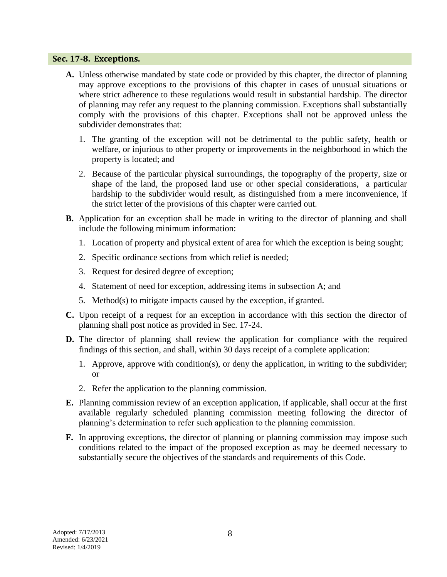#### **Sec. 17-8. Exceptions.**

- **A.** Unless otherwise mandated by state code or provided by this chapter, the director of planning may approve exceptions to the provisions of this chapter in cases of unusual situations or where strict adherence to these regulations would result in substantial hardship. The director of planning may refer any request to the planning commission. Exceptions shall substantially comply with the provisions of this chapter. Exceptions shall not be approved unless the subdivider demonstrates that:
	- 1. The granting of the exception will not be detrimental to the public safety, health or welfare, or injurious to other property or improvements in the neighborhood in which the property is located; and
	- 2. Because of the particular physical surroundings, the topography of the property, size or shape of the land, the proposed land use or other special considerations, a particular hardship to the subdivider would result, as distinguished from a mere inconvenience, if the strict letter of the provisions of this chapter were carried out.
- **B.** Application for an exception shall be made in writing to the director of planning and shall include the following minimum information:
	- 1. Location of property and physical extent of area for which the exception is being sought;
	- 2. Specific ordinance sections from which relief is needed;
	- 3. Request for desired degree of exception;
	- 4. Statement of need for exception, addressing items in subsection A; and
	- 5. Method(s) to mitigate impacts caused by the exception, if granted.
- **C.** Upon receipt of a request for an exception in accordance with this section the director of planning shall post notice as provided in Sec. 17-24.
- **D.** The director of planning shall review the application for compliance with the required findings of this section, and shall, within 30 days receipt of a complete application:
	- 1. Approve, approve with condition(s), or deny the application, in writing to the subdivider; or
	- 2. Refer the application to the planning commission.
- **E.** Planning commission review of an exception application, if applicable, shall occur at the first available regularly scheduled planning commission meeting following the director of planning's determination to refer such application to the planning commission.
- **F.** In approving exceptions, the director of planning or planning commission may impose such conditions related to the impact of the proposed exception as may be deemed necessary to substantially secure the objectives of the standards and requirements of this Code.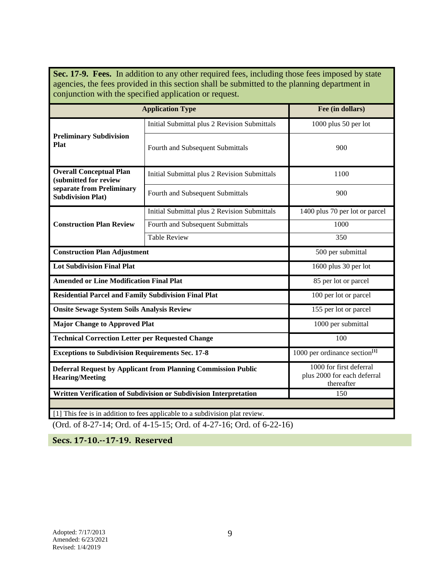Sec. 17-9. Fees. In addition to any other required fees, including those fees imposed by state agencies, the fees provided in this section shall be submitted to the planning department in conjunction with the specified application or request.

| <b>Application Type</b>                                                                        | Fee (in dollars)                                                  |                                                                      |  |  |
|------------------------------------------------------------------------------------------------|-------------------------------------------------------------------|----------------------------------------------------------------------|--|--|
|                                                                                                | Initial Submittal plus 2 Revision Submittals                      | 1000 plus 50 per lot                                                 |  |  |
| <b>Preliminary Subdivision</b><br><b>Plat</b>                                                  | Fourth and Subsequent Submittals                                  | 900                                                                  |  |  |
| <b>Overall Conceptual Plan</b><br>(submitted for review                                        | Initial Submittal plus 2 Revision Submittals                      | 1100                                                                 |  |  |
| separate from Preliminary<br><b>Subdivision Plat)</b>                                          | Fourth and Subsequent Submittals                                  | 900                                                                  |  |  |
|                                                                                                | Initial Submittal plus 2 Revision Submittals                      | 1400 plus 70 per lot or parcel                                       |  |  |
| <b>Construction Plan Review</b>                                                                | Fourth and Subsequent Submittals                                  | 1000                                                                 |  |  |
|                                                                                                | <b>Table Review</b>                                               | 350                                                                  |  |  |
| <b>Construction Plan Adjustment</b>                                                            | 500 per submittal                                                 |                                                                      |  |  |
| <b>Lot Subdivision Final Plat</b>                                                              |                                                                   | 1600 plus 30 per lot                                                 |  |  |
| <b>Amended or Line Modification Final Plat</b>                                                 |                                                                   | 85 per lot or parcel                                                 |  |  |
| <b>Residential Parcel and Family Subdivision Final Plat</b>                                    |                                                                   | 100 per lot or parcel                                                |  |  |
| <b>Onsite Sewage System Soils Analysis Review</b>                                              |                                                                   | 155 per lot or parcel                                                |  |  |
| <b>Major Change to Approved Plat</b>                                                           |                                                                   | 1000 per submittal                                                   |  |  |
| <b>Technical Correction Letter per Requested Change</b>                                        |                                                                   | 100                                                                  |  |  |
| <b>Exceptions to Subdivision Requirements Sec. 17-8</b>                                        |                                                                   | 1000 per ordinance section $[1]$                                     |  |  |
| <b>Deferral Request by Applicant from Planning Commission Public</b><br><b>Hearing/Meeting</b> |                                                                   | 1000 for first deferral<br>plus 2000 for each deferral<br>thereafter |  |  |
|                                                                                                | Written Verification of Subdivision or Subdivision Interpretation | 150                                                                  |  |  |
| [1] This fee is in addition to fees applicable to a subdivision plat review.                   |                                                                   |                                                                      |  |  |

(Ord. of 8-27-14; Ord. of 4-15-15; Ord. of 4-27-16; Ord. of 6-22-16)

**Secs. 17-10.--17-19. Reserved**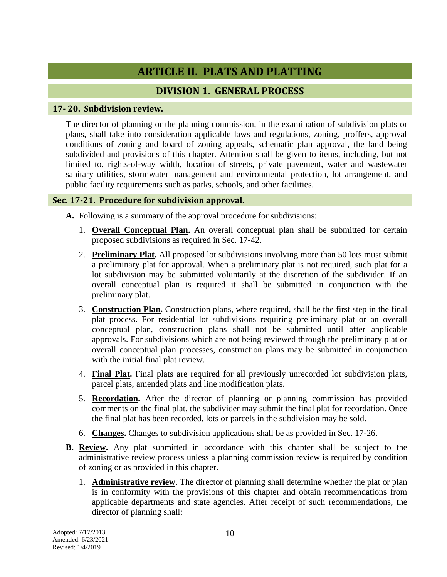# **ARTICLE II. PLATS AND PLATTING**

## **DIVISION 1. GENERAL PROCESS**

## **17- 20. Subdivision review.**

The director of planning or the planning commission, in the examination of subdivision plats or plans, shall take into consideration applicable laws and regulations, zoning, proffers, approval conditions of zoning and board of zoning appeals, schematic plan approval, the land being subdivided and provisions of this chapter. Attention shall be given to items, including, but not limited to, rights-of-way width, location of streets, private pavement, water and wastewater sanitary utilities, stormwater management and environmental protection, lot arrangement, and public facility requirements such as parks, schools, and other facilities.

## **Sec. 17-21. Procedure for subdivision approval.**

**A.** Following is a summary of the approval procedure for subdivisions:

- 1. **Overall Conceptual Plan.** An overall conceptual plan shall be submitted for certain proposed subdivisions as required in Sec. 17-42.
- 2. **Preliminary Plat.** All proposed lot subdivisions involving more than 50 lots must submit a preliminary plat for approval. When a preliminary plat is not required, such plat for a lot subdivision may be submitted voluntarily at the discretion of the subdivider. If an overall conceptual plan is required it shall be submitted in conjunction with the preliminary plat.
- 3. **Construction Plan.** Construction plans, where required, shall be the first step in the final plat process. For residential lot subdivisions requiring preliminary plat or an overall conceptual plan, construction plans shall not be submitted until after applicable approvals. For subdivisions which are not being reviewed through the preliminary plat or overall conceptual plan processes, construction plans may be submitted in conjunction with the initial final plat review.
- 4. **Final Plat.** Final plats are required for all previously unrecorded lot subdivision plats, parcel plats, amended plats and line modification plats.
- 5. **Recordation.** After the director of planning or planning commission has provided comments on the final plat, the subdivider may submit the final plat for recordation. Once the final plat has been recorded, lots or parcels in the subdivision may be sold.
- 6. **Changes.** Changes to subdivision applications shall be as provided in Sec. 17-26.
- **B. Review.** Any plat submitted in accordance with this chapter shall be subject to the administrative review process unless a planning commission review is required by condition of zoning or as provided in this chapter.
	- 1. **Administrative review**. The director of planning shall determine whether the plat or plan is in conformity with the provisions of this chapter and obtain recommendations from applicable departments and state agencies. After receipt of such recommendations, the director of planning shall: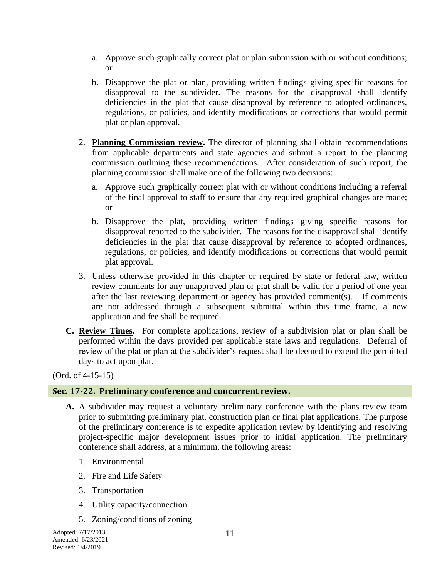- a. Approve such graphically correct plat or plan submission with or without conditions; or
- b. Disapprove the plat or plan, providing written findings giving specific reasons for disapproval to the subdivider. The reasons for the disapproval shall identify deficiencies in the plat that cause disapproval by reference to adopted ordinances, regulations, or policies, and identify modifications or corrections that would permit plat or plan approval.
- 2. **Planning Commission review.** The director of planning shall obtain recommendations from applicable departments and state agencies and submit a report to the planning commission outlining these recommendations. After consideration of such report, the planning commission shall make one of the following two decisions:
	- a. Approve such graphically correct plat with or without conditions including a referral of the final approval to staff to ensure that any required graphical changes are made; or
	- b. Disapprove the plat, providing written findings giving specific reasons for disapproval reported to the subdivider. The reasons for the disapproval shall identify deficiencies in the plat that cause disapproval by reference to adopted ordinances, regulations, or policies, and identify modifications or corrections that would permit plat approval.
- 3. Unless otherwise provided in this chapter or required by state or federal law, written review comments for any unapproved plan or plat shall be valid for a period of one year after the last reviewing department or agency has provided comment(s). If comments are not addressed through a subsequent submittal within this time frame, a new application and fee shall be required.
- **C. Review Times.** For complete applications, review of a subdivision plat or plan shall be performed within the days provided per applicable state laws and regulations. Deferral of review of the plat or plan at the subdivider's request shall be deemed to extend the permitted days to act upon plat.

(Ord. of 4-15-15)

#### **Sec. 17-22. Preliminary conference and concurrent review.**

- **A.** A subdivider may request a voluntary preliminary conference with the plans review team prior to submitting preliminary plat, construction plan or final plat applications. The purpose of the preliminary conference is to expedite application review by identifying and resolving project-specific major development issues prior to initial application. The preliminary conference shall address, at a minimum, the following areas:
	- 1. Environmental
	- 2. Fire and Life Safety
	- 3. Transportation
	- 4. Utility capacity/connection
	- 5. Zoning/conditions of zoning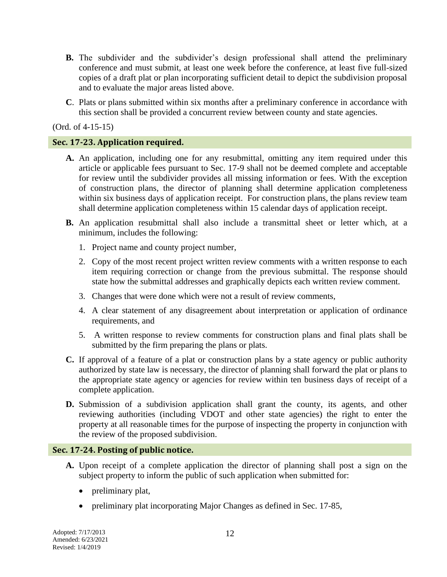- **B.** The subdivider and the subdivider's design professional shall attend the preliminary conference and must submit, at least one week before the conference, at least five full-sized copies of a draft plat or plan incorporating sufficient detail to depict the subdivision proposal and to evaluate the major areas listed above.
- **C**. Plats or plans submitted within six months after a preliminary conference in accordance with this section shall be provided a concurrent review between county and state agencies.

(Ord. of 4-15-15)

#### **Sec. 17-23. Application required.**

- **A.** An application, including one for any resubmittal, omitting any item required under this article or applicable fees pursuant to Sec. 17-9 shall not be deemed complete and acceptable for review until the subdivider provides all missing information or fees. With the exception of construction plans, the director of planning shall determine application completeness within six business days of application receipt. For construction plans, the plans review team shall determine application completeness within 15 calendar days of application receipt.
- **B.** An application resubmittal shall also include a transmittal sheet or letter which, at a minimum, includes the following:
	- 1. Project name and county project number,
	- 2. Copy of the most recent project written review comments with a written response to each item requiring correction or change from the previous submittal. The response should state how the submittal addresses and graphically depicts each written review comment.
	- 3. Changes that were done which were not a result of review comments,
	- 4. A clear statement of any disagreement about interpretation or application of ordinance requirements, and
	- 5. A written response to review comments for construction plans and final plats shall be submitted by the firm preparing the plans or plats.
- **C.** If approval of a feature of a plat or construction plans by a state agency or public authority authorized by state law is necessary, the director of planning shall forward the plat or plans to the appropriate state agency or agencies for review within ten business days of receipt of a complete application.
- **D.** Submission of a subdivision application shall grant the county, its agents, and other reviewing authorities (including VDOT and other state agencies) the right to enter the property at all reasonable times for the purpose of inspecting the property in conjunction with the review of the proposed subdivision.

#### **Sec. 17-24. Posting of public notice.**

- **A.** Upon receipt of a complete application the director of planning shall post a sign on the subject property to inform the public of such application when submitted for:
	- preliminary plat,
	- preliminary plat incorporating Major Changes as defined in Sec. 17-85,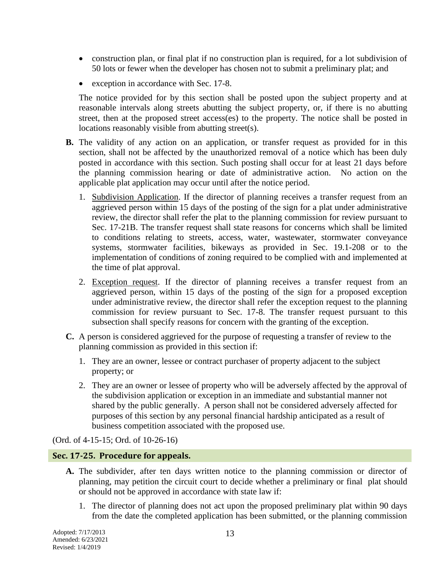- construction plan, or final plat if no construction plan is required, for a lot subdivision of 50 lots or fewer when the developer has chosen not to submit a preliminary plat; and
- exception in accordance with Sec. 17-8.

The notice provided for by this section shall be posted upon the subject property and at reasonable intervals along streets abutting the subject property, or, if there is no abutting street, then at the proposed street access(es) to the property. The notice shall be posted in locations reasonably visible from abutting street(s).

- **B.** The validity of any action on an application, or transfer request as provided for in this section, shall not be affected by the unauthorized removal of a notice which has been duly posted in accordance with this section. Such posting shall occur for at least 21 days before the planning commission hearing or date of administrative action. No action on the applicable plat application may occur until after the notice period.
	- 1. Subdivision Application. If the director of planning receives a transfer request from an aggrieved person within 15 days of the posting of the sign for a plat under administrative review, the director shall refer the plat to the planning commission for review pursuant to Sec. 17-21B. The transfer request shall state reasons for concerns which shall be limited to conditions relating to streets, access, water, wastewater, stormwater conveyance systems, stormwater facilities, bikeways as provided in Sec. 19.1-208 or to the implementation of conditions of zoning required to be complied with and implemented at the time of plat approval.
	- 2. Exception request. If the director of planning receives a transfer request from an aggrieved person, within 15 days of the posting of the sign for a proposed exception under administrative review, the director shall refer the exception request to the planning commission for review pursuant to Sec. 17-8. The transfer request pursuant to this subsection shall specify reasons for concern with the granting of the exception.
- **C.** A person is considered aggrieved for the purpose of requesting a transfer of review to the planning commission as provided in this section if:
	- 1. They are an owner, lessee or contract purchaser of property adjacent to the subject property; or
	- 2. They are an owner or lessee of property who will be adversely affected by the approval of the subdivision application or exception in an immediate and substantial manner not shared by the public generally. A person shall not be considered adversely affected for purposes of this section by any personal financial hardship anticipated as a result of business competition associated with the proposed use.

(Ord. of 4-15-15; Ord. of 10-26-16)

#### **Sec. 17-25. Procedure for appeals.**

- **A.** The subdivider, after ten days written notice to the planning commission or director of planning, may petition the circuit court to decide whether a preliminary or final plat should or should not be approved in accordance with state law if:
	- 1. The director of planning does not act upon the proposed preliminary plat within 90 days from the date the completed application has been submitted, or the planning commission

Adopted: 7/17/2013 Amended: 6/23/2021 Revised: 1/4/2019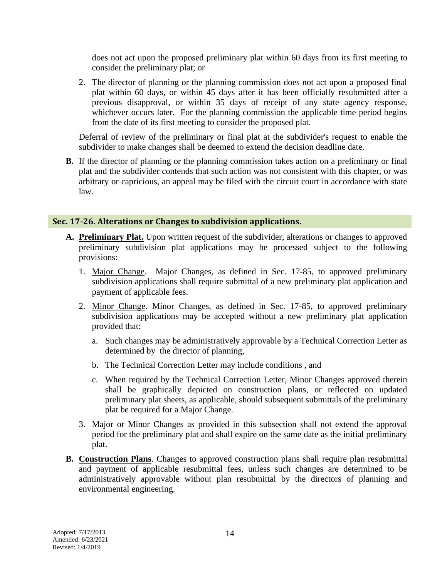does not act upon the proposed preliminary plat within 60 days from its first meeting to consider the preliminary plat; or

2. The director of planning or the planning commission does not act upon a proposed final plat within 60 days, or within 45 days after it has been officially resubmitted after a previous disapproval, or within 35 days of receipt of any state agency response, whichever occurs later. For the planning commission the applicable time period begins from the date of its first meeting to consider the proposed plat.

Deferral of review of the preliminary or final plat at the subdivider's request to enable the subdivider to make changes shall be deemed to extend the decision deadline date.

**B.** If the director of planning or the planning commission takes action on a preliminary or final plat and the subdivider contends that such action was not consistent with this chapter, or was arbitrary or capricious, an appeal may be filed with the circuit court in accordance with state law.

#### **Sec. 17-26. Alterations or Changes to subdivision applications.**

- **A. Preliminary Plat.** Upon written request of the subdivider, alterations or changes to approved preliminary subdivision plat applications may be processed subject to the following provisions:
	- 1. Major Change. Major Changes, as defined in Sec. 17-85, to approved preliminary subdivision applications shall require submittal of a new preliminary plat application and payment of applicable fees.
	- 2. Minor Change. Minor Changes, as defined in Sec. 17-85, to approved preliminary subdivision applications may be accepted without a new preliminary plat application provided that:
		- a. Such changes may be administratively approvable by a Technical Correction Letter as determined by the director of planning,
		- b. The Technical Correction Letter may include conditions , and
		- c. When required by the Technical Correction Letter, Minor Changes approved therein shall be graphically depicted on construction plans, or reflected on updated preliminary plat sheets, as applicable, should subsequent submittals of the preliminary plat be required for a Major Change.
	- 3. Major or Minor Changes as provided in this subsection shall not extend the approval period for the preliminary plat and shall expire on the same date as the initial preliminary plat.
- **B. Construction Plans**. Changes to approved construction plans shall require plan resubmittal and payment of applicable resubmittal fees, unless such changes are determined to be administratively approvable without plan resubmittal by the directors of planning and environmental engineering.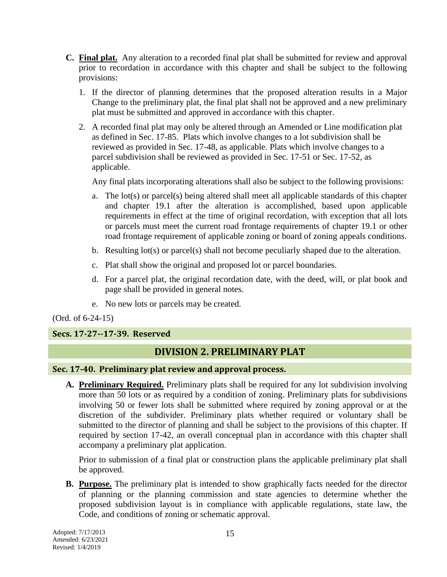- **C. Final plat.** Any alteration to a recorded final plat shall be submitted for review and approval prior to recordation in accordance with this chapter and shall be subject to the following provisions:
	- 1. If the director of planning determines that the proposed alteration results in a Major Change to the preliminary plat, the final plat shall not be approved and a new preliminary plat must be submitted and approved in accordance with this chapter.
	- 2. A recorded final plat may only be altered through an Amended or Line modification plat as defined in Sec. 17-85. Plats which involve changes to a lot subdivision shall be reviewed as provided in Sec. 17-48, as applicable. Plats which involve changes to a parcel subdivision shall be reviewed as provided in Sec. 17-51 or Sec. 17-52, as applicable.

Any final plats incorporating alterations shall also be subject to the following provisions:

- a. The lot(s) or parcel(s) being altered shall meet all applicable standards of this chapter and chapter 19.1 after the alteration is accomplished, based upon applicable requirements in effect at the time of original recordation, with exception that all lots or parcels must meet the current road frontage requirements of chapter 19.1 or other road frontage requirement of applicable zoning or board of zoning appeals conditions.
- b. Resulting lot(s) or parcel(s) shall not become peculiarly shaped due to the alteration.
- c. Plat shall show the original and proposed lot or parcel boundaries.
- d. For a parcel plat, the original recordation date, with the deed, will, or plat book and page shall be provided in general notes.
- e. No new lots or parcels may be created.

(Ord. of 6-24-15)

## **Secs. 17-27--17-39. Reserved**

## **DIVISION 2. PRELIMINARY PLAT**

#### **Sec. 17-40. Preliminary plat review and approval process.**

**A. Preliminary Required.** Preliminary plats shall be required for any lot subdivision involving more than 50 lots or as required by a condition of zoning. Preliminary plats for subdivisions involving 50 or fewer lots shall be submitted where required by zoning approval or at the discretion of the subdivider. Preliminary plats whether required or voluntary shall be submitted to the director of planning and shall be subject to the provisions of this chapter. If required by section 17-42, an overall conceptual plan in accordance with this chapter shall accompany a preliminary plat application.

Prior to submission of a final plat or construction plans the applicable preliminary plat shall be approved.

**B. Purpose.** The preliminary plat is intended to show graphically facts needed for the director of planning or the planning commission and state agencies to determine whether the proposed subdivision layout is in compliance with applicable regulations, state law, the Code, and conditions of zoning or schematic approval.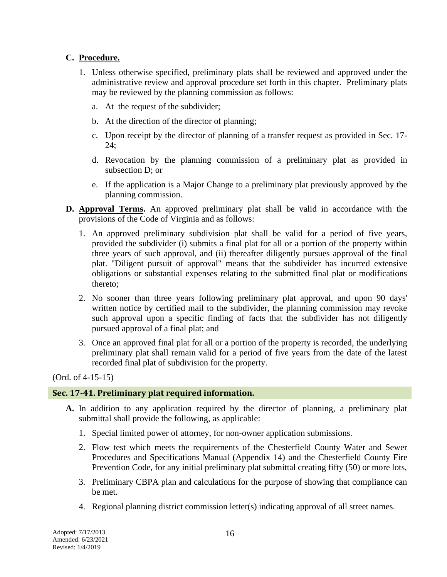## **C. Procedure.**

- 1. Unless otherwise specified, preliminary plats shall be reviewed and approved under the administrative review and approval procedure set forth in this chapter. Preliminary plats may be reviewed by the planning commission as follows:
	- a. At the request of the subdivider;
	- b. At the direction of the director of planning;
	- c. Upon receipt by the director of planning of a transfer request as provided in Sec. 17- 24;
	- d. Revocation by the planning commission of a preliminary plat as provided in subsection D; or
	- e. If the application is a Major Change to a preliminary plat previously approved by the planning commission.
- **D. Approval Terms.** An approved preliminary plat shall be valid in accordance with the provisions of the Code of Virginia and as follows:
	- 1. An approved preliminary subdivision plat shall be valid for a period of five years, provided the subdivider (i) submits a final plat for all or a portion of the property within three years of such approval, and (ii) thereafter diligently pursues approval of the final plat. "Diligent pursuit of approval" means that the subdivider has incurred extensive obligations or substantial expenses relating to the submitted final plat or modifications thereto;
	- 2. No sooner than three years following preliminary plat approval, and upon 90 days' written notice by certified mail to the subdivider, the planning commission may revoke such approval upon a specific finding of facts that the subdivider has not diligently pursued approval of a final plat; and
	- 3. Once an approved final plat for all or a portion of the property is recorded, the underlying preliminary plat shall remain valid for a period of five years from the date of the latest recorded final plat of subdivision for the property.

(Ord. of 4-15-15)

#### **Sec. 17-41. Preliminary plat required information.**

- **A.** In addition to any application required by the director of planning, a preliminary plat submittal shall provide the following, as applicable:
	- 1. Special limited power of attorney, for non-owner application submissions.
	- 2. Flow test which meets the requirements of the Chesterfield County Water and Sewer Procedures and Specifications Manual (Appendix 14) and the Chesterfield County Fire Prevention Code, for any initial preliminary plat submittal creating fifty (50) or more lots,
	- 3. Preliminary CBPA plan and calculations for the purpose of showing that compliance can be met.
	- 4. Regional planning district commission letter(s) indicating approval of all street names.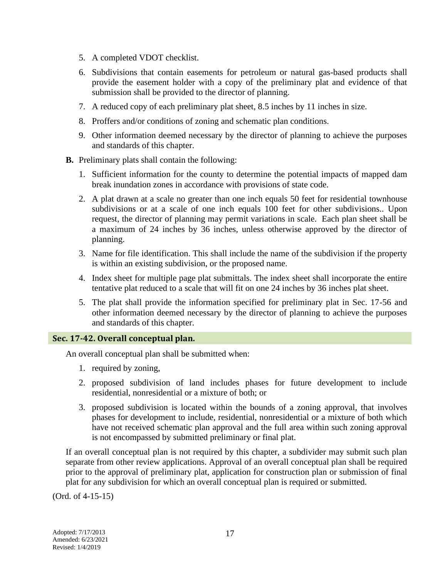- 5. A completed VDOT checklist.
- 6. Subdivisions that contain easements for petroleum or natural gas-based products shall provide the easement holder with a copy of the preliminary plat and evidence of that submission shall be provided to the director of planning.
- 7. A reduced copy of each preliminary plat sheet, 8.5 inches by 11 inches in size.
- 8. Proffers and/or conditions of zoning and schematic plan conditions.
- 9. Other information deemed necessary by the director of planning to achieve the purposes and standards of this chapter.
- **B.** Preliminary plats shall contain the following:
	- 1. Sufficient information for the county to determine the potential impacts of mapped dam break inundation zones in accordance with provisions of state code.
	- 2. A plat drawn at a scale no greater than one inch equals 50 feet for residential townhouse subdivisions or at a scale of one inch equals 100 feet for other subdivisions.. Upon request, the director of planning may permit variations in scale. Each plan sheet shall be a maximum of 24 inches by 36 inches, unless otherwise approved by the director of planning.
	- 3. Name for file identification. This shall include the name of the subdivision if the property is within an existing subdivision, or the proposed name.
	- 4. Index sheet for multiple page plat submittals. The index sheet shall incorporate the entire tentative plat reduced to a scale that will fit on one 24 inches by 36 inches plat sheet.
	- 5. The plat shall provide the information specified for preliminary plat in Sec. 17-56 and other information deemed necessary by the director of planning to achieve the purposes and standards of this chapter.

#### **Sec. 17-42. Overall conceptual plan.**

An overall conceptual plan shall be submitted when:

- 1. required by zoning,
- 2. proposed subdivision of land includes phases for future development to include residential, nonresidential or a mixture of both; or
- 3. proposed subdivision is located within the bounds of a zoning approval, that involves phases for development to include, residential, nonresidential or a mixture of both which have not received schematic plan approval and the full area within such zoning approval is not encompassed by submitted preliminary or final plat.

If an overall conceptual plan is not required by this chapter, a subdivider may submit such plan separate from other review applications. Approval of an overall conceptual plan shall be required prior to the approval of preliminary plat, application for construction plan or submission of final plat for any subdivision for which an overall conceptual plan is required or submitted.

(Ord. of 4-15-15)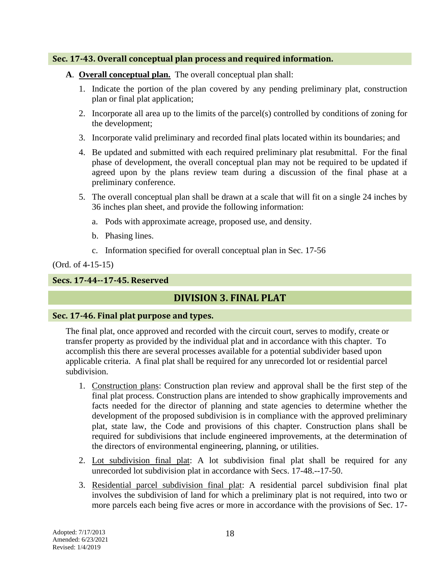#### **Sec. 17-43. Overall conceptual plan process and required information.**

- **A**. **Overall conceptual plan.** The overall conceptual plan shall:
	- 1. Indicate the portion of the plan covered by any pending preliminary plat, construction plan or final plat application;
	- 2. Incorporate all area up to the limits of the parcel(s) controlled by conditions of zoning for the development;
	- 3. Incorporate valid preliminary and recorded final plats located within its boundaries; and
	- 4. Be updated and submitted with each required preliminary plat resubmittal. For the final phase of development, the overall conceptual plan may not be required to be updated if agreed upon by the plans review team during a discussion of the final phase at a preliminary conference.
	- 5. The overall conceptual plan shall be drawn at a scale that will fit on a single 24 inches by 36 inches plan sheet, and provide the following information:
		- a. Pods with approximate acreage, proposed use, and density.
		- b. Phasing lines.
		- c. Information specified for overall conceptual plan in Sec. 17-56

#### (Ord. of 4-15-15)

## **Secs. 17-44--17-45. Reserved**

## **DIVISION 3. FINAL PLAT**

#### **Sec. 17-46. Final plat purpose and types.**

The final plat, once approved and recorded with the circuit court, serves to modify, create or transfer property as provided by the individual plat and in accordance with this chapter. To accomplish this there are several processes available for a potential subdivider based upon applicable criteria. A final plat shall be required for any unrecorded lot or residential parcel subdivision.

- 1. Construction plans: Construction plan review and approval shall be the first step of the final plat process. Construction plans are intended to show graphically improvements and facts needed for the director of planning and state agencies to determine whether the development of the proposed subdivision is in compliance with the approved preliminary plat, state law, the Code and provisions of this chapter. Construction plans shall be required for subdivisions that include engineered improvements, at the determination of the directors of environmental engineering, planning, or utilities.
- 2. Lot subdivision final plat: A lot subdivision final plat shall be required for any unrecorded lot subdivision plat in accordance with Secs. 17-48.--17-50.
- 3. Residential parcel subdivision final plat: A residential parcel subdivision final plat involves the subdivision of land for which a preliminary plat is not required, into two or more parcels each being five acres or more in accordance with the provisions of Sec. 17-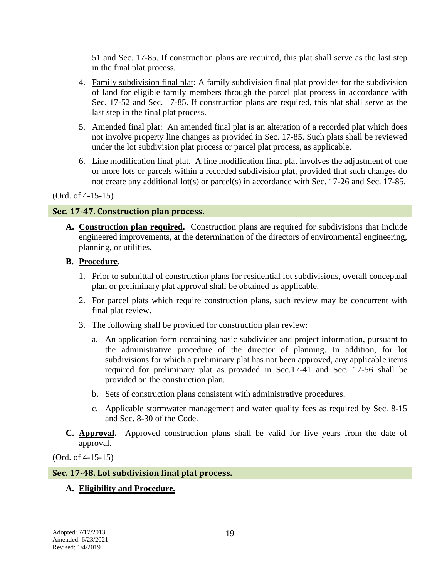51 and Sec. 17-85. If construction plans are required, this plat shall serve as the last step in the final plat process.

- 4. Family subdivision final plat: A family subdivision final plat provides for the subdivision of land for eligible family members through the parcel plat process in accordance with Sec. 17-52 and Sec. 17-85. If construction plans are required, this plat shall serve as the last step in the final plat process.
- 5. Amended final plat: An amended final plat is an alteration of a recorded plat which does not involve property line changes as provided in Sec. 17-85. Such plats shall be reviewed under the lot subdivision plat process or parcel plat process, as applicable.
- 6. Line modification final plat. A line modification final plat involves the adjustment of one or more lots or parcels within a recorded subdivision plat, provided that such changes do not create any additional lot(s) or parcel(s) in accordance with Sec. 17-26 and Sec. 17-85.

## (Ord. of 4-15-15)

## **Sec. 17-47. Construction plan process.**

**A. Construction plan required.** Construction plans are required for subdivisions that include engineered improvements, at the determination of the directors of environmental engineering, planning, or utilities.

## **B. Procedure.**

- 1. Prior to submittal of construction plans for residential lot subdivisions, overall conceptual plan or preliminary plat approval shall be obtained as applicable.
- 2. For parcel plats which require construction plans, such review may be concurrent with final plat review.
- 3. The following shall be provided for construction plan review:
	- a. An application form containing basic subdivider and project information, pursuant to the administrative procedure of the director of planning. In addition, for lot subdivisions for which a preliminary plat has not been approved, any applicable items required for preliminary plat as provided in Sec.17-41 and Sec. 17-56 shall be provided on the construction plan.
	- b. Sets of construction plans consistent with administrative procedures.
	- c. Applicable stormwater management and water quality fees as required by Sec. 8-15 and Sec. 8-30 of the Code.
- **C. Approval.** Approved construction plans shall be valid for five years from the date of approval.

(Ord. of 4-15-15)

#### **Sec. 17-48. Lot subdivision final plat process.**

## **A. Eligibility and Procedure.**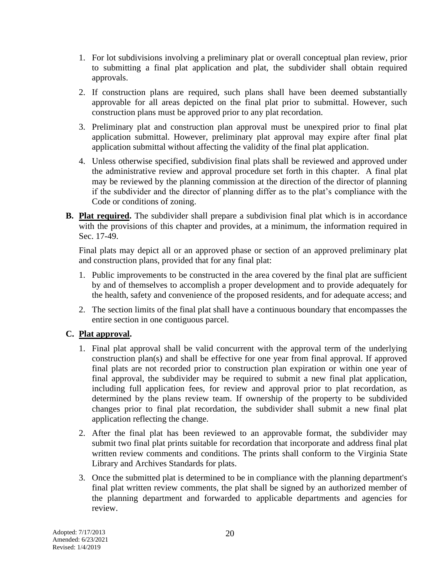- 1. For lot subdivisions involving a preliminary plat or overall conceptual plan review, prior to submitting a final plat application and plat, the subdivider shall obtain required approvals.
- 2. If construction plans are required, such plans shall have been deemed substantially approvable for all areas depicted on the final plat prior to submittal. However, such construction plans must be approved prior to any plat recordation.
- 3. Preliminary plat and construction plan approval must be unexpired prior to final plat application submittal. However, preliminary plat approval may expire after final plat application submittal without affecting the validity of the final plat application.
- 4. Unless otherwise specified, subdivision final plats shall be reviewed and approved under the administrative review and approval procedure set forth in this chapter. A final plat may be reviewed by the planning commission at the direction of the director of planning if the subdivider and the director of planning differ as to the plat's compliance with the Code or conditions of zoning.
- **B.** Plat required. The subdivider shall prepare a subdivision final plat which is in accordance with the provisions of this chapter and provides, at a minimum, the information required in Sec. 17-49.

Final plats may depict all or an approved phase or section of an approved preliminary plat and construction plans, provided that for any final plat:

- 1. Public improvements to be constructed in the area covered by the final plat are sufficient by and of themselves to accomplish a proper development and to provide adequately for the health, safety and convenience of the proposed residents, and for adequate access; and
- 2. The section limits of the final plat shall have a continuous boundary that encompasses the entire section in one contiguous parcel.

## **C. Plat approval.**

- 1. Final plat approval shall be valid concurrent with the approval term of the underlying construction plan(s) and shall be effective for one year from final approval. If approved final plats are not recorded prior to construction plan expiration or within one year of final approval, the subdivider may be required to submit a new final plat application, including full application fees, for review and approval prior to plat recordation, as determined by the plans review team. If ownership of the property to be subdivided changes prior to final plat recordation, the subdivider shall submit a new final plat application reflecting the change.
- 2. After the final plat has been reviewed to an approvable format, the subdivider may submit two final plat prints suitable for recordation that incorporate and address final plat written review comments and conditions. The prints shall conform to the Virginia State Library and Archives Standards for plats.
- 3. Once the submitted plat is determined to be in compliance with the planning department's final plat written review comments, the plat shall be signed by an authorized member of the planning department and forwarded to applicable departments and agencies for review.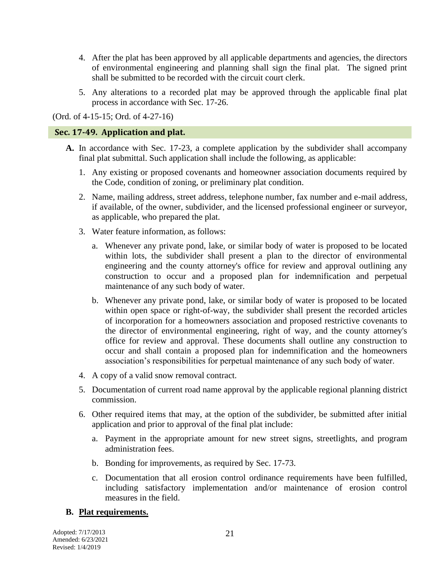- 4. After the plat has been approved by all applicable departments and agencies, the directors of environmental engineering and planning shall sign the final plat. The signed print shall be submitted to be recorded with the circuit court clerk.
- 5. Any alterations to a recorded plat may be approved through the applicable final plat process in accordance with Sec. 17-26.

(Ord. of 4-15-15; Ord. of 4-27-16)

### **Sec. 17-49. Application and plat.**

- **A.** In accordance with Sec. 17-23, a complete application by the subdivider shall accompany final plat submittal. Such application shall include the following, as applicable:
	- 1. Any existing or proposed covenants and homeowner association documents required by the Code, condition of zoning, or preliminary plat condition.
	- 2. Name, mailing address, street address, telephone number, fax number and e-mail address, if available, of the owner, subdivider, and the licensed professional engineer or surveyor, as applicable, who prepared the plat.
	- 3. Water feature information, as follows:
		- a. Whenever any private pond, lake, or similar body of water is proposed to be located within lots, the subdivider shall present a plan to the director of environmental engineering and the county attorney's office for review and approval outlining any construction to occur and a proposed plan for indemnification and perpetual maintenance of any such body of water.
		- b. Whenever any private pond, lake, or similar body of water is proposed to be located within open space or right-of-way, the subdivider shall present the recorded articles of incorporation for a homeowners association and proposed restrictive covenants to the director of environmental engineering, right of way, and the county attorney's office for review and approval. These documents shall outline any construction to occur and shall contain a proposed plan for indemnification and the homeowners association's responsibilities for perpetual maintenance of any such body of water.
	- 4. A copy of a valid snow removal contract.
	- 5. Documentation of current road name approval by the applicable regional planning district commission.
	- 6. Other required items that may, at the option of the subdivider, be submitted after initial application and prior to approval of the final plat include:
		- a. Payment in the appropriate amount for new street signs, streetlights, and program administration fees.
		- b. Bonding for improvements, as required by Sec. 17-73.
		- c. Documentation that all erosion control ordinance requirements have been fulfilled, including satisfactory implementation and/or maintenance of erosion control measures in the field.

#### **B. Plat requirements.**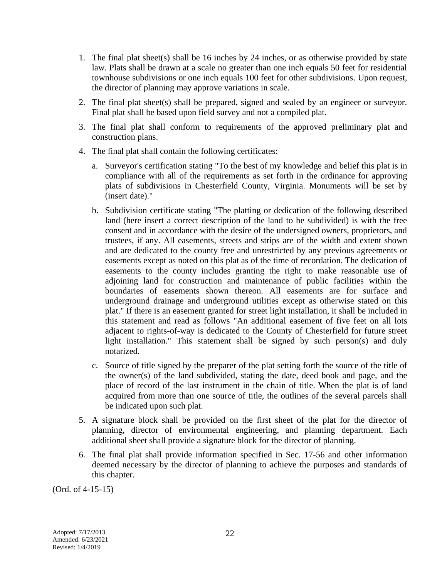- 1. The final plat sheet(s) shall be 16 inches by 24 inches, or as otherwise provided by state law. Plats shall be drawn at a scale no greater than one inch equals 50 feet for residential townhouse subdivisions or one inch equals 100 feet for other subdivisions. Upon request, the director of planning may approve variations in scale.
- 2. The final plat sheet(s) shall be prepared, signed and sealed by an engineer or surveyor. Final plat shall be based upon field survey and not a compiled plat.
- 3. The final plat shall conform to requirements of the approved preliminary plat and construction plans.
- 4. The final plat shall contain the following certificates:
	- a. Surveyor's certification stating "To the best of my knowledge and belief this plat is in compliance with all of the requirements as set forth in the ordinance for approving plats of subdivisions in Chesterfield County, Virginia. Monuments will be set by (insert date)."
	- b. Subdivision certificate stating "The platting or dedication of the following described land (here insert a correct description of the land to be subdivided) is with the free consent and in accordance with the desire of the undersigned owners, proprietors, and trustees, if any. All easements, streets and strips are of the width and extent shown and are dedicated to the county free and unrestricted by any previous agreements or easements except as noted on this plat as of the time of recordation. The dedication of easements to the county includes granting the right to make reasonable use of adjoining land for construction and maintenance of public facilities within the boundaries of easements shown thereon. All easements are for surface and underground drainage and underground utilities except as otherwise stated on this plat." If there is an easement granted for street light installation, it shall be included in this statement and read as follows "An additional easement of five feet on all lots adjacent to rights-of-way is dedicated to the County of Chesterfield for future street light installation." This statement shall be signed by such person(s) and duly notarized.
	- c. Source of title signed by the preparer of the plat setting forth the source of the title of the owner(s) of the land subdivided, stating the date, deed book and page, and the place of record of the last instrument in the chain of title. When the plat is of land acquired from more than one source of title, the outlines of the several parcels shall be indicated upon such plat.
- 5. A signature block shall be provided on the first sheet of the plat for the director of planning, director of environmental engineering, and planning department. Each additional sheet shall provide a signature block for the director of planning.
- 6. The final plat shall provide information specified in Sec. 17-56 and other information deemed necessary by the director of planning to achieve the purposes and standards of this chapter.

(Ord. of 4-15-15)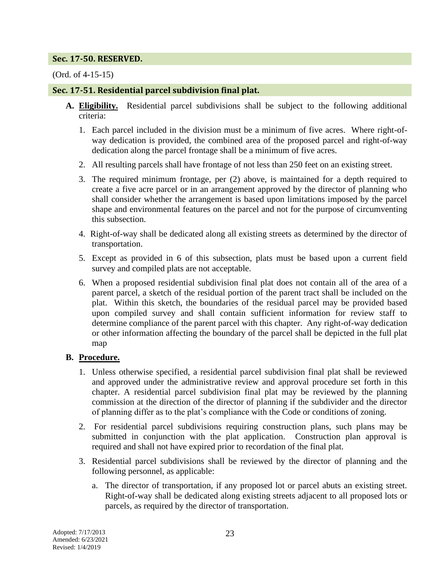### **Sec. 17-50. RESERVED.**

### (Ord. of 4-15-15)

## **Sec. 17-51. Residential parcel subdivision final plat.**

- **A. Eligibility.** Residential parcel subdivisions shall be subject to the following additional criteria:
	- 1. Each parcel included in the division must be a minimum of five acres. Where right-ofway dedication is provided, the combined area of the proposed parcel and right-of-way dedication along the parcel frontage shall be a minimum of five acres.
	- 2. All resulting parcels shall have frontage of not less than 250 feet on an existing street.
	- 3. The required minimum frontage, per (2) above, is maintained for a depth required to create a five acre parcel or in an arrangement approved by the director of planning who shall consider whether the arrangement is based upon limitations imposed by the parcel shape and environmental features on the parcel and not for the purpose of circumventing this subsection.
	- 4. Right-of-way shall be dedicated along all existing streets as determined by the director of transportation.
	- 5. Except as provided in 6 of this subsection, plats must be based upon a current field survey and compiled plats are not acceptable.
	- 6. When a proposed residential subdivision final plat does not contain all of the area of a parent parcel, a sketch of the residual portion of the parent tract shall be included on the plat. Within this sketch, the boundaries of the residual parcel may be provided based upon compiled survey and shall contain sufficient information for review staff to determine compliance of the parent parcel with this chapter. Any right-of-way dedication or other information affecting the boundary of the parcel shall be depicted in the full plat map

## **B. Procedure.**

- 1. Unless otherwise specified, a residential parcel subdivision final plat shall be reviewed and approved under the administrative review and approval procedure set forth in this chapter. A residential parcel subdivision final plat may be reviewed by the planning commission at the direction of the director of planning if the subdivider and the director of planning differ as to the plat's compliance with the Code or conditions of zoning.
- 2. For residential parcel subdivisions requiring construction plans, such plans may be submitted in conjunction with the plat application. Construction plan approval is required and shall not have expired prior to recordation of the final plat.
- 3. Residential parcel subdivisions shall be reviewed by the director of planning and the following personnel, as applicable:
	- a. The director of transportation, if any proposed lot or parcel abuts an existing street. Right-of-way shall be dedicated along existing streets adjacent to all proposed lots or parcels, as required by the director of transportation.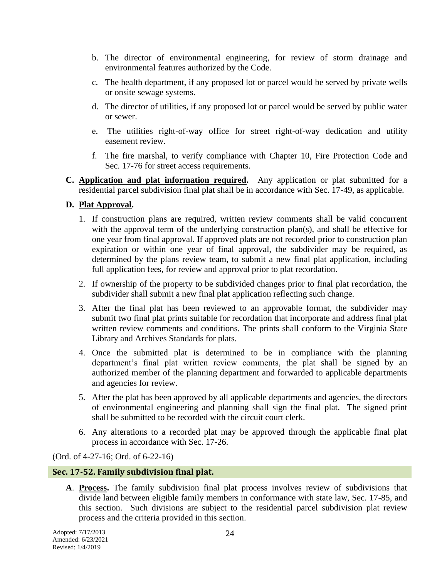- b. The director of environmental engineering, for review of storm drainage and environmental features authorized by the Code.
- c. The health department, if any proposed lot or parcel would be served by private wells or onsite sewage systems.
- d. The director of utilities, if any proposed lot or parcel would be served by public water or sewer.
- e. The utilities right-of-way office for street right-of-way dedication and utility easement review.
- f. The fire marshal, to verify compliance with Chapter 10, Fire Protection Code and Sec. 17-76 for street access requirements.
- **C. Application and plat information required.** Any application or plat submitted for a residential parcel subdivision final plat shall be in accordance with Sec. 17-49, as applicable.

## **D. Plat Approval.**

- 1. If construction plans are required, written review comments shall be valid concurrent with the approval term of the underlying construction plan(s), and shall be effective for one year from final approval. If approved plats are not recorded prior to construction plan expiration or within one year of final approval, the subdivider may be required, as determined by the plans review team, to submit a new final plat application, including full application fees, for review and approval prior to plat recordation.
- 2. If ownership of the property to be subdivided changes prior to final plat recordation, the subdivider shall submit a new final plat application reflecting such change.
- 3. After the final plat has been reviewed to an approvable format, the subdivider may submit two final plat prints suitable for recordation that incorporate and address final plat written review comments and conditions. The prints shall conform to the Virginia State Library and Archives Standards for plats.
- 4. Once the submitted plat is determined to be in compliance with the planning department's final plat written review comments, the plat shall be signed by an authorized member of the planning department and forwarded to applicable departments and agencies for review.
- 5. After the plat has been approved by all applicable departments and agencies, the directors of environmental engineering and planning shall sign the final plat. The signed print shall be submitted to be recorded with the circuit court clerk.
- 6. Any alterations to a recorded plat may be approved through the applicable final plat process in accordance with Sec. 17-26.

(Ord. of 4-27-16; Ord. of 6-22-16)

#### **Sec. 17-52. Family subdivision final plat.**

**A**. **Process.** The family subdivision final plat process involves review of subdivisions that divide land between eligible family members in conformance with state law, Sec. 17-85, and this section. Such divisions are subject to the residential parcel subdivision plat review process and the criteria provided in this section.

Adopted: 7/17/2013 Amended: 6/23/2021 Revised: 1/4/2019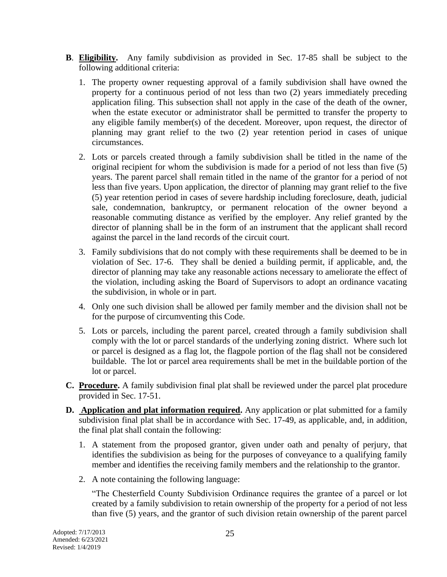- **B**. **Eligibility.** Any family subdivision as provided in Sec. 17-85 shall be subject to the following additional criteria:
	- 1. The property owner requesting approval of a family subdivision shall have owned the property for a continuous period of not less than two (2) years immediately preceding application filing. This subsection shall not apply in the case of the death of the owner, when the estate executor or administrator shall be permitted to transfer the property to any eligible family member(s) of the decedent. Moreover, upon request, the director of planning may grant relief to the two (2) year retention period in cases of unique circumstances.
	- 2. Lots or parcels created through a family subdivision shall be titled in the name of the original recipient for whom the subdivision is made for a period of not less than five (5) years. The parent parcel shall remain titled in the name of the grantor for a period of not less than five years. Upon application, the director of planning may grant relief to the five (5) year retention period in cases of severe hardship including foreclosure, death, judicial sale, condemnation, bankruptcy, or permanent relocation of the owner beyond a reasonable commuting distance as verified by the employer. Any relief granted by the director of planning shall be in the form of an instrument that the applicant shall record against the parcel in the land records of the circuit court.
	- 3. Family subdivisions that do not comply with these requirements shall be deemed to be in violation of Sec. 17-6. They shall be denied a building permit, if applicable, and, the director of planning may take any reasonable actions necessary to ameliorate the effect of the violation, including asking the Board of Supervisors to adopt an ordinance vacating the subdivision, in whole or in part.
	- 4. Only one such division shall be allowed per family member and the division shall not be for the purpose of circumventing this Code.
	- 5. Lots or parcels, including the parent parcel, created through a family subdivision shall comply with the lot or parcel standards of the underlying zoning district. Where such lot or parcel is designed as a flag lot, the flagpole portion of the flag shall not be considered buildable. The lot or parcel area requirements shall be met in the buildable portion of the lot or parcel.
- **C. Procedure.** A family subdivision final plat shall be reviewed under the parcel plat procedure provided in Sec. 17-51.
- **D. Application and plat information required.** Any application or plat submitted for a family subdivision final plat shall be in accordance with Sec. 17-49, as applicable, and, in addition, the final plat shall contain the following:
	- 1. A statement from the proposed grantor, given under oath and penalty of perjury, that identifies the subdivision as being for the purposes of conveyance to a qualifying family member and identifies the receiving family members and the relationship to the grantor.
	- 2. A note containing the following language:

"The Chesterfield County Subdivision Ordinance requires the grantee of a parcel or lot created by a family subdivision to retain ownership of the property for a period of not less than five (5) years, and the grantor of such division retain ownership of the parent parcel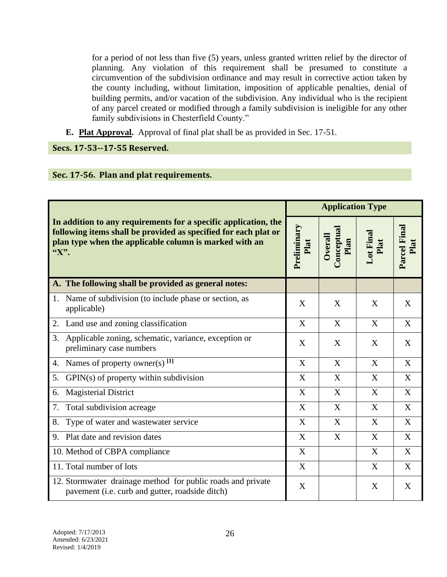for a period of not less than five (5) years, unless granted written relief by the director of planning. Any violation of this requirement shall be presumed to constitute a circumvention of the subdivision ordinance and may result in corrective action taken by the county including, without limitation, imposition of applicable penalties, denial of building permits, and/or vacation of the subdivision. Any individual who is the recipient of any parcel created or modified through a family subdivision is ineligible for any other family subdivisions in Chesterfield County."

**E. Plat Approval.** Approval of final plat shall be as provided in Sec. 17-51.

**Secs. 17-53--17-55 Reserved.**

## **Sec. 17-56. Plan and plat requirements.**

| In addition to any requirements for a specific application, the<br>following items shall be provided as specified for each plat or<br>plan type when the applicable column is marked with an<br>"X". |                           | <b>Application Type</b>       |                   |                      |  |
|------------------------------------------------------------------------------------------------------------------------------------------------------------------------------------------------------|---------------------------|-------------------------------|-------------------|----------------------|--|
|                                                                                                                                                                                                      |                           | Conceptual<br>Overall<br>Plan | Lot Final<br>Plat | Parcel Final<br>Plat |  |
| A. The following shall be provided as general notes:                                                                                                                                                 |                           |                               |                   |                      |  |
| Name of subdivision (to include phase or section, as<br>1.<br>applicable)                                                                                                                            | X                         | X                             | X                 | X                    |  |
| Land use and zoning classification<br>2.                                                                                                                                                             | X                         | X                             | X                 | X                    |  |
| Applicable zoning, schematic, variance, exception or<br>3.<br>preliminary case numbers                                                                                                               | X                         | X                             | X                 | X                    |  |
| Names of property owner(s) $[1]$<br>4.                                                                                                                                                               | X                         | X                             | X                 | X                    |  |
| $GPIN(s)$ of property within subdivision<br>5.                                                                                                                                                       | X                         | X                             | X                 | X                    |  |
| <b>Magisterial District</b><br>6.                                                                                                                                                                    | X                         | X                             | X                 | X                    |  |
| Total subdivision acreage<br>7.                                                                                                                                                                      | X                         | X                             | X                 | X                    |  |
| Type of water and wastewater service<br>8.                                                                                                                                                           | X                         | X                             | X                 | X                    |  |
| Plat date and revision dates<br>9.                                                                                                                                                                   | X                         | X                             | X                 | X                    |  |
| 10. Method of CBPA compliance                                                                                                                                                                        | X                         |                               | X                 | X                    |  |
| 11. Total number of lots                                                                                                                                                                             | $\boldsymbol{\mathrm{X}}$ |                               | X                 | $\mathbf X$          |  |
| 12. Stormwater drainage method for public roads and private<br>pavement (i.e. curb and gutter, roadside ditch)                                                                                       | X                         |                               | X                 | X                    |  |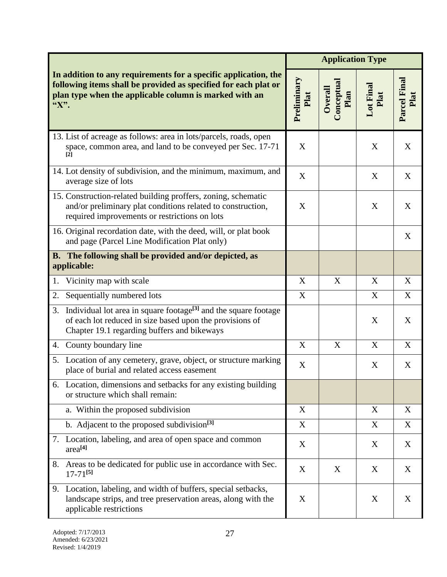| In addition to any requirements for a specific application, the<br>following items shall be provided as specified for each plat or<br>plan type when the applicable column is marked with an<br>"X". |                                                                                                                                                                                        | <b>Application Type</b> |                               |                   |                      |
|------------------------------------------------------------------------------------------------------------------------------------------------------------------------------------------------------|----------------------------------------------------------------------------------------------------------------------------------------------------------------------------------------|-------------------------|-------------------------------|-------------------|----------------------|
|                                                                                                                                                                                                      |                                                                                                                                                                                        | Preliminary<br>Plat     | Conceptual<br>Overall<br>Plan | Lot Final<br>Plat | Parcel Final<br>Plat |
|                                                                                                                                                                                                      | 13. List of acreage as follows: area in lots/parcels, roads, open<br>space, common area, and land to be conveyed per Sec. 17-71<br>$\lceil 2 \rceil$                                   | X                       |                               | X                 | X                    |
|                                                                                                                                                                                                      | 14. Lot density of subdivision, and the minimum, maximum, and<br>average size of lots                                                                                                  | X                       |                               | X                 | X                    |
|                                                                                                                                                                                                      | 15. Construction-related building proffers, zoning, schematic<br>and/or preliminary plat conditions related to construction,<br>required improvements or restrictions on lots          | X                       |                               | X                 | X                    |
|                                                                                                                                                                                                      | 16. Original recordation date, with the deed, will, or plat book<br>and page (Parcel Line Modification Plat only)                                                                      |                         |                               |                   | X                    |
|                                                                                                                                                                                                      | B. The following shall be provided and/or depicted, as<br>applicable:                                                                                                                  |                         |                               |                   |                      |
| 1.                                                                                                                                                                                                   | Vicinity map with scale                                                                                                                                                                | X                       | X                             | X                 | X                    |
| 2.                                                                                                                                                                                                   | Sequentially numbered lots                                                                                                                                                             | X                       |                               | X                 | X                    |
| 3.                                                                                                                                                                                                   | Individual lot area in square footage <sup>[3]</sup> and the square footage<br>of each lot reduced in size based upon the provisions of<br>Chapter 19.1 regarding buffers and bikeways |                         |                               | X                 | X                    |
| 4.                                                                                                                                                                                                   | County boundary line                                                                                                                                                                   | X                       | X                             | X                 | X                    |
|                                                                                                                                                                                                      | 5. Location of any cemetery, grave, object, or structure marking<br>place of burial and related access easement                                                                        | X                       |                               | X                 | X                    |
|                                                                                                                                                                                                      | 6. Location, dimensions and setbacks for any existing building<br>or structure which shall remain:                                                                                     |                         |                               |                   |                      |
|                                                                                                                                                                                                      | a. Within the proposed subdivision                                                                                                                                                     | X                       |                               | X                 | X                    |
|                                                                                                                                                                                                      | b. Adjacent to the proposed subdivision <sup>[3]</sup>                                                                                                                                 | X                       |                               | X                 | X                    |
|                                                                                                                                                                                                      | 7. Location, labeling, and area of open space and common<br>area <sup>[4]</sup>                                                                                                        | X                       |                               | X                 | X                    |
| 8.                                                                                                                                                                                                   | Areas to be dedicated for public use in accordance with Sec.<br>$17 - 71^{5}$                                                                                                          | X                       | X                             | X                 | X                    |
|                                                                                                                                                                                                      | 9. Location, labeling, and width of buffers, special setbacks,<br>landscape strips, and tree preservation areas, along with the<br>applicable restrictions                             | X                       |                               | X                 | X                    |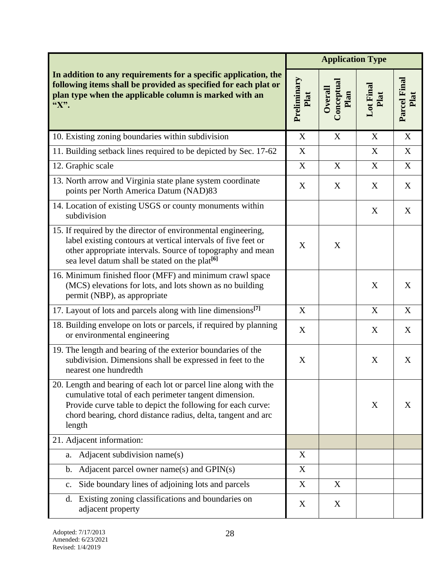| In addition to any requirements for a specific application, the<br>following items shall be provided as specified for each plat or<br>plan type when the applicable column is marked with an<br>"X".                                                               |   | <b>Application Type</b>       |                   |                      |  |
|--------------------------------------------------------------------------------------------------------------------------------------------------------------------------------------------------------------------------------------------------------------------|---|-------------------------------|-------------------|----------------------|--|
|                                                                                                                                                                                                                                                                    |   | Conceptual<br>Overall<br>Plan | Lot Final<br>Plat | Parcel Final<br>Plat |  |
| 10. Existing zoning boundaries within subdivision                                                                                                                                                                                                                  | X | X                             | X                 | X                    |  |
| 11. Building setback lines required to be depicted by Sec. 17-62                                                                                                                                                                                                   | X |                               | X                 | $\boldsymbol{X}$     |  |
| 12. Graphic scale                                                                                                                                                                                                                                                  | X | X                             | X                 | $\mathbf X$          |  |
| 13. North arrow and Virginia state plane system coordinate<br>points per North America Datum (NAD)83                                                                                                                                                               | X | X                             | X                 | X                    |  |
| 14. Location of existing USGS or county monuments within<br>subdivision                                                                                                                                                                                            |   |                               | X                 | X                    |  |
| 15. If required by the director of environmental engineering,<br>label existing contours at vertical intervals of five feet or<br>other appropriate intervals. Source of topography and mean<br>sea level datum shall be stated on the plat <sup>[6]</sup>         | X | X                             |                   |                      |  |
| 16. Minimum finished floor (MFF) and minimum crawl space<br>(MCS) elevations for lots, and lots shown as no building<br>permit (NBP), as appropriate                                                                                                               |   |                               | X                 | X                    |  |
| 17. Layout of lots and parcels along with line dimensions <sup>[7]</sup>                                                                                                                                                                                           | X |                               | X                 | X                    |  |
| 18. Building envelope on lots or parcels, if required by planning<br>or environmental engineering                                                                                                                                                                  | X |                               | X                 | X                    |  |
| 19. The length and bearing of the exterior boundaries of the<br>subdivision. Dimensions shall be expressed in feet to the<br>nearest one hundredth                                                                                                                 | X |                               | X                 | X                    |  |
| 20. Length and bearing of each lot or parcel line along with the<br>cumulative total of each perimeter tangent dimension.<br>Provide curve table to depict the following for each curve:<br>chord bearing, chord distance radius, delta, tangent and arc<br>length |   |                               | X                 | X                    |  |
| 21. Adjacent information:                                                                                                                                                                                                                                          |   |                               |                   |                      |  |
| Adjacent subdivision name(s)<br>a.                                                                                                                                                                                                                                 | X |                               |                   |                      |  |
| Adjacent parcel owner name(s) and GPIN(s)<br>b.                                                                                                                                                                                                                    | X |                               |                   |                      |  |
| Side boundary lines of adjoining lots and parcels<br>$\mathbf{c}$ .                                                                                                                                                                                                | X | X                             |                   |                      |  |
| Existing zoning classifications and boundaries on<br>d.<br>adjacent property                                                                                                                                                                                       | X | X                             |                   |                      |  |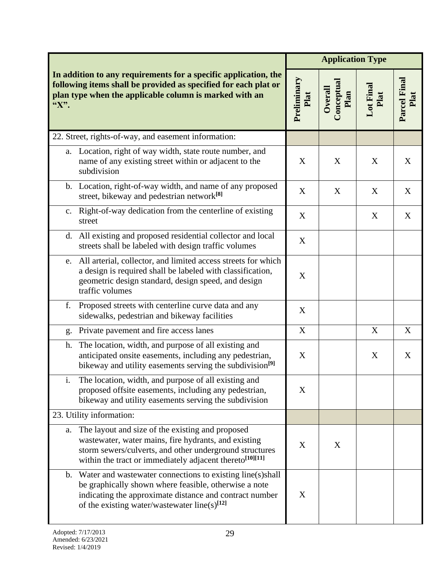| In addition to any requirements for a specific application, the<br>following items shall be provided as specified for each plat or<br>plan type when the applicable column is marked with an<br>"X". |                                                                                                                                                                                                                                                | <b>Application Type</b> |                               |                   |                      |
|------------------------------------------------------------------------------------------------------------------------------------------------------------------------------------------------------|------------------------------------------------------------------------------------------------------------------------------------------------------------------------------------------------------------------------------------------------|-------------------------|-------------------------------|-------------------|----------------------|
|                                                                                                                                                                                                      |                                                                                                                                                                                                                                                | Preliminary<br>Plat     | Conceptual<br>Overall<br>Plan | Lot Final<br>Plat | Parcel Final<br>Plat |
|                                                                                                                                                                                                      | 22. Street, rights-of-way, and easement information:                                                                                                                                                                                           |                         |                               |                   |                      |
|                                                                                                                                                                                                      | a. Location, right of way width, state route number, and<br>name of any existing street within or adjacent to the<br>subdivision                                                                                                               | X                       | X                             | X                 | X                    |
|                                                                                                                                                                                                      | b. Location, right-of-way width, and name of any proposed<br>street, bikeway and pedestrian network <sup>[8]</sup>                                                                                                                             | X                       | X                             | X                 | X                    |
|                                                                                                                                                                                                      | c. Right-of-way dedication from the centerline of existing<br>street                                                                                                                                                                           | X                       |                               | X                 | X                    |
|                                                                                                                                                                                                      | d. All existing and proposed residential collector and local<br>streets shall be labeled with design traffic volumes                                                                                                                           | X                       |                               |                   |                      |
|                                                                                                                                                                                                      | e. All arterial, collector, and limited access streets for which<br>a design is required shall be labeled with classification,<br>geometric design standard, design speed, and design<br>traffic volumes                                       | X                       |                               |                   |                      |
| f.                                                                                                                                                                                                   | Proposed streets with centerline curve data and any<br>sidewalks, pedestrian and bikeway facilities                                                                                                                                            | X                       |                               |                   |                      |
| g.                                                                                                                                                                                                   | Private pavement and fire access lanes                                                                                                                                                                                                         | X                       |                               | X                 | X                    |
| h.                                                                                                                                                                                                   | The location, width, and purpose of all existing and<br>anticipated onsite easements, including any pedestrian,<br>bikeway and utility easements serving the subdivision <sup>[9]</sup>                                                        | X                       |                               | X                 | X                    |
| 1.                                                                                                                                                                                                   | The location, width, and purpose of all existing and<br>proposed offsite easements, including any pedestrian,<br>bikeway and utility easements serving the subdivision                                                                         | X                       |                               |                   |                      |
|                                                                                                                                                                                                      | 23. Utility information:                                                                                                                                                                                                                       |                         |                               |                   |                      |
|                                                                                                                                                                                                      | a. The layout and size of the existing and proposed<br>wastewater, water mains, fire hydrants, and existing<br>storm sewers/culverts, and other underground structures<br>within the tract or immediately adjacent thereto <sup>[10][11]</sup> | X                       | X                             |                   |                      |
|                                                                                                                                                                                                      | b. Water and wastewater connections to existing line(s)shall<br>be graphically shown where feasible, otherwise a note<br>indicating the approximate distance and contract number<br>of the existing water/wastewater line(s) $^{[12]}$         | X                       |                               |                   |                      |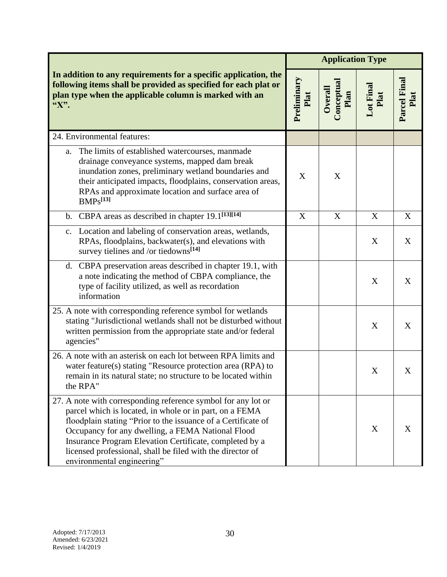| In addition to any requirements for a specific application, the<br>following items shall be provided as specified for each plat or<br>plan type when the applicable column is marked with an<br>"X".                                                                                                                                                                                                  |   | <b>Application Type</b>       |                   |                      |  |
|-------------------------------------------------------------------------------------------------------------------------------------------------------------------------------------------------------------------------------------------------------------------------------------------------------------------------------------------------------------------------------------------------------|---|-------------------------------|-------------------|----------------------|--|
|                                                                                                                                                                                                                                                                                                                                                                                                       |   | Conceptual<br>Overall<br>Plan | Lot Final<br>Plat | Parcel Final<br>Plat |  |
| 24. Environmental features:                                                                                                                                                                                                                                                                                                                                                                           |   |                               |                   |                      |  |
| The limits of established watercourses, manmade<br>a.<br>drainage conveyance systems, mapped dam break<br>inundation zones, preliminary wetland boundaries and<br>their anticipated impacts, floodplains, conservation areas,<br>RPAs and approximate location and surface area of<br>BMPs <sup>[13]</sup>                                                                                            | X | X                             |                   |                      |  |
| b. CBPA areas as described in chapter $\overline{19.1^{[13][14]}}$                                                                                                                                                                                                                                                                                                                                    | X | X                             | X                 | X                    |  |
| c. Location and labeling of conservation areas, wetlands,<br>RPAs, floodplains, backwater(s), and elevations with<br>survey tielines and /or tiedowns <sup>[14]</sup>                                                                                                                                                                                                                                 |   |                               | X                 | X                    |  |
| d. CBPA preservation areas described in chapter 19.1, with<br>a note indicating the method of CBPA compliance, the<br>type of facility utilized, as well as recordation<br>information                                                                                                                                                                                                                |   |                               | X                 | X                    |  |
| 25. A note with corresponding reference symbol for wetlands<br>stating "Jurisdictional wetlands shall not be disturbed without<br>written permission from the appropriate state and/or federal<br>agencies"                                                                                                                                                                                           |   |                               | X                 | X                    |  |
| 26. A note with an asterisk on each lot between RPA limits and<br>water feature(s) stating "Resource protection area (RPA) to<br>remain in its natural state; no structure to be located within<br>the RPA"                                                                                                                                                                                           |   |                               | X                 | X                    |  |
| 27. A note with corresponding reference symbol for any lot or<br>parcel which is located, in whole or in part, on a FEMA<br>floodplain stating "Prior to the issuance of a Certificate of<br>Occupancy for any dwelling, a FEMA National Flood<br>Insurance Program Elevation Certificate, completed by a<br>licensed professional, shall be filed with the director of<br>environmental engineering" |   |                               | X                 | X                    |  |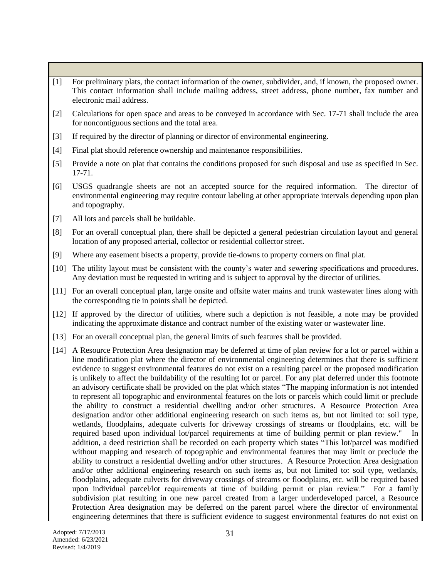- [1] For preliminary plats, the contact information of the owner, subdivider, and, if known, the proposed owner. This contact information shall include mailing address, street address, phone number, fax number and electronic mail address.
- [2] Calculations for open space and areas to be conveyed in accordance with Sec. 17-71 shall include the area for noncontiguous sections and the total area.
- [3] If required by the director of planning or director of environmental engineering.
- [4] Final plat should reference ownership and maintenance responsibilities.
- [5] Provide a note on plat that contains the conditions proposed for such disposal and use as specified in Sec. 17-71.
- [6] USGS quadrangle sheets are not an accepted source for the required information. The director of environmental engineering may require contour labeling at other appropriate intervals depending upon plan and topography.
- [7] All lots and parcels shall be buildable.
- [8] For an overall conceptual plan, there shall be depicted a general pedestrian circulation layout and general location of any proposed arterial, collector or residential collector street.
- [9] Where any easement bisects a property, provide tie-downs to property corners on final plat.
- [10] The utility layout must be consistent with the county's water and sewering specifications and procedures. Any deviation must be requested in writing and is subject to approval by the director of utilities.
- [11] For an overall conceptual plan, large onsite and offsite water mains and trunk wastewater lines along with the corresponding tie in points shall be depicted.
- [12] If approved by the director of utilities, where such a depiction is not feasible, a note may be provided indicating the approximate distance and contract number of the existing water or wastewater line.
- [13] For an overall conceptual plan, the general limits of such features shall be provided.
- [14] A Resource Protection Area designation may be deferred at time of plan review for a lot or parcel within a line modification plat where the director of environmental engineering determines that there is sufficient evidence to suggest environmental features do not exist on a resulting parcel or the proposed modification is unlikely to affect the buildability of the resulting lot or parcel. For any plat deferred under this footnote an advisory certificate shall be provided on the plat which states "The mapping information is not intended to represent all topographic and environmental features on the lots or parcels which could limit or preclude the ability to construct a residential dwelling and/or other structures. A Resource Protection Area designation and/or other additional engineering research on such items as, but not limited to: soil type, wetlands, floodplains, adequate culverts for driveway crossings of streams or floodplains, etc. will be required based upon individual lot/parcel requirements at time of building permit or plan review." In addition, a deed restriction shall be recorded on each property which states "This lot/parcel was modified without mapping and research of topographic and environmental features that may limit or preclude the ability to construct a residential dwelling and/or other structures. A Resource Protection Area designation and/or other additional engineering research on such items as, but not limited to: soil type, wetlands, floodplains, adequate culverts for driveway crossings of streams or floodplains, etc. will be required based upon individual parcel/lot requirements at time of building permit or plan review." For a family subdivision plat resulting in one new parcel created from a larger underdeveloped parcel, a Resource Protection Area designation may be deferred on the parent parcel where the director of environmental engineering determines that there is sufficient evidence to suggest environmental features do not exist on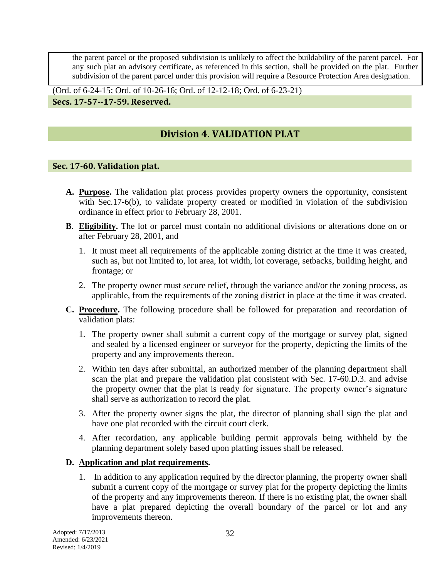the parent parcel or the proposed subdivision is unlikely to affect the buildability of the parent parcel. For any such plat an advisory certificate, as referenced in this section, shall be provided on the plat. Further subdivision of the parent parcel under this provision will require a Resource Protection Area designation.

(Ord. of 6-24-15; Ord. of 10-26-16; Ord. of 12-12-18; Ord. of 6-23-21) **Secs. 17-57--17-59. Reserved.**

## **Division 4. VALIDATION PLAT**

## **Sec. 17-60. Validation plat.**

- **A. Purpose.** The validation plat process provides property owners the opportunity, consistent with Sec.17-6(b), to validate property created or modified in violation of the subdivision ordinance in effect prior to February 28, 2001.
- **B**. **Eligibility.** The lot or parcel must contain no additional divisions or alterations done on or after February 28, 2001, and
	- 1. It must meet all requirements of the applicable zoning district at the time it was created, such as, but not limited to, lot area, lot width, lot coverage, setbacks, building height, and frontage; or
	- 2. The property owner must secure relief, through the variance and/or the zoning process, as applicable, from the requirements of the zoning district in place at the time it was created.
- **C. Procedure.** The following procedure shall be followed for preparation and recordation of validation plats:
	- 1. The property owner shall submit a current copy of the mortgage or survey plat, signed and sealed by a licensed engineer or surveyor for the property, depicting the limits of the property and any improvements thereon.
	- 2. Within ten days after submittal, an authorized member of the planning department shall scan the plat and prepare the validation plat consistent with Sec. 17-60.D.3. and advise the property owner that the plat is ready for signature. The property owner's signature shall serve as authorization to record the plat.
	- 3. After the property owner signs the plat, the director of planning shall sign the plat and have one plat recorded with the circuit court clerk.
	- 4. After recordation, any applicable building permit approvals being withheld by the planning department solely based upon platting issues shall be released.

## **D. Application and plat requirements.**

1. In addition to any application required by the director planning, the property owner shall submit a current copy of the mortgage or survey plat for the property depicting the limits of the property and any improvements thereon. If there is no existing plat, the owner shall have a plat prepared depicting the overall boundary of the parcel or lot and any improvements thereon.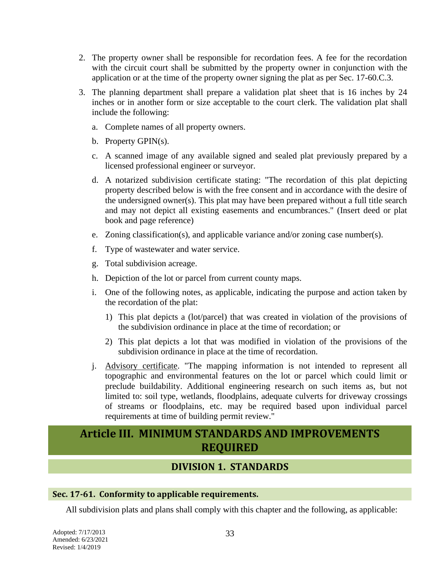- 2. The property owner shall be responsible for recordation fees. A fee for the recordation with the circuit court shall be submitted by the property owner in conjunction with the application or at the time of the property owner signing the plat as per Sec. 17-60.C.3.
- 3. The planning department shall prepare a validation plat sheet that is 16 inches by 24 inches or in another form or size acceptable to the court clerk. The validation plat shall include the following:
	- a. Complete names of all property owners.
	- b. Property GPIN(s).
	- c. A scanned image of any available signed and sealed plat previously prepared by a licensed professional engineer or surveyor.
	- d. A notarized subdivision certificate stating: "The recordation of this plat depicting property described below is with the free consent and in accordance with the desire of the undersigned owner(s). This plat may have been prepared without a full title search and may not depict all existing easements and encumbrances." (Insert deed or plat book and page reference)
	- e. Zoning classification(s), and applicable variance and/or zoning case number(s).
	- f. Type of wastewater and water service.
	- g. Total subdivision acreage.
	- h. Depiction of the lot or parcel from current county maps.
	- i. One of the following notes, as applicable, indicating the purpose and action taken by the recordation of the plat:
		- 1) This plat depicts a (lot/parcel) that was created in violation of the provisions of the subdivision ordinance in place at the time of recordation; or
		- 2) This plat depicts a lot that was modified in violation of the provisions of the subdivision ordinance in place at the time of recordation.
	- j. Advisory certificate. "The mapping information is not intended to represent all topographic and environmental features on the lot or parcel which could limit or preclude buildability. Additional engineering research on such items as, but not limited to: soil type, wetlands, floodplains, adequate culverts for driveway crossings of streams or floodplains, etc. may be required based upon individual parcel requirements at time of building permit review."

# **Article III. MINIMUM STANDARDS AND IMPROVEMENTS REQUIRED**

## **DIVISION 1. STANDARDS**

## **Sec. 17-61. Conformity to applicable requirements.**

All subdivision plats and plans shall comply with this chapter and the following, as applicable: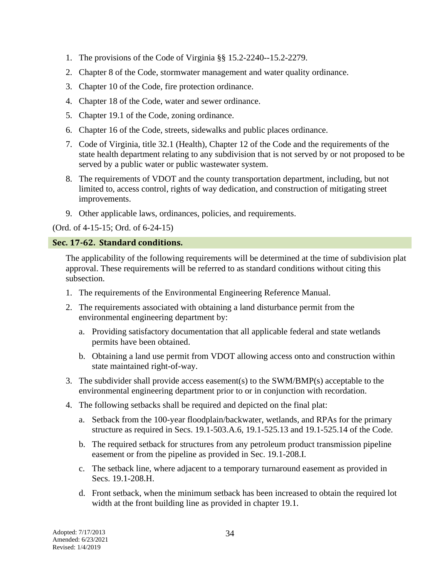- 1. The provisions of the Code of Virginia §§ 15.2-2240--15.2-2279.
- 2. Chapter 8 of the Code, stormwater management and water quality ordinance.
- 3. Chapter 10 of the Code, fire protection ordinance.
- 4. Chapter 18 of the Code, water and sewer ordinance.
- 5. Chapter 19.1 of the Code, zoning ordinance.
- 6. Chapter 16 of the Code, streets, sidewalks and public places ordinance.
- 7. Code of Virginia, title 32.1 (Health), Chapter 12 of the Code and the requirements of the state health department relating to any subdivision that is not served by or not proposed to be served by a public water or public wastewater system.
- 8. The requirements of VDOT and the county transportation department, including, but not limited to, access control, rights of way dedication, and construction of mitigating street improvements.
- 9. Other applicable laws, ordinances, policies, and requirements.

(Ord. of 4-15-15; Ord. of 6-24-15)

## **Sec. 17-62. Standard conditions.**

The applicability of the following requirements will be determined at the time of subdivision plat approval. These requirements will be referred to as standard conditions without citing this subsection.

- 1. The requirements of the Environmental Engineering Reference Manual.
- 2. The requirements associated with obtaining a land disturbance permit from the environmental engineering department by:
	- a. Providing satisfactory documentation that all applicable federal and state wetlands permits have been obtained.
	- b. Obtaining a land use permit from VDOT allowing access onto and construction within state maintained right-of-way.
- 3. The subdivider shall provide access easement(s) to the SWM/BMP(s) acceptable to the environmental engineering department prior to or in conjunction with recordation.
- 4. The following setbacks shall be required and depicted on the final plat:
	- a. Setback from the 100-year floodplain/backwater, wetlands, and RPAs for the primary structure as required in Secs. 19.1-503.A.6, 19.1-525.13 and 19.1-525.14 of the Code.
	- b. The required setback for structures from any petroleum product transmission pipeline easement or from the pipeline as provided in Sec. 19.1-208.I.
	- c. The setback line, where adjacent to a temporary turnaround easement as provided in Secs. 19.1-208.H.
	- d. Front setback, when the minimum setback has been increased to obtain the required lot width at the front building line as provided in chapter 19.1.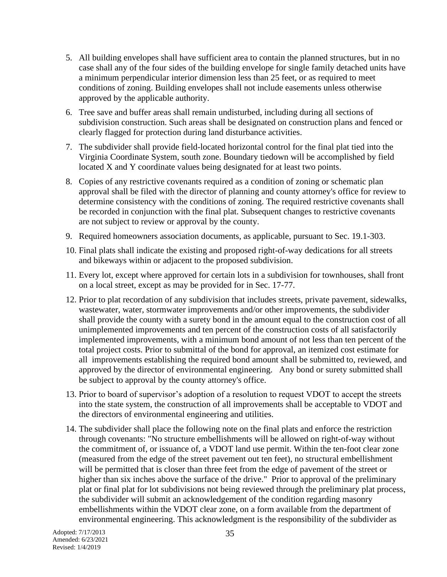- 5. All building envelopes shall have sufficient area to contain the planned structures, but in no case shall any of the four sides of the building envelope for single family detached units have a minimum perpendicular interior dimension less than 25 feet, or as required to meet conditions of zoning. Building envelopes shall not include easements unless otherwise approved by the applicable authority.
- 6. Tree save and buffer areas shall remain undisturbed, including during all sections of subdivision construction. Such areas shall be designated on construction plans and fenced or clearly flagged for protection during land disturbance activities.
- 7. The subdivider shall provide field-located horizontal control for the final plat tied into the Virginia Coordinate System, south zone. Boundary tiedown will be accomplished by field located X and Y coordinate values being designated for at least two points.
- 8. Copies of any restrictive covenants required as a condition of zoning or schematic plan approval shall be filed with the director of planning and county attorney's office for review to determine consistency with the conditions of zoning. The required restrictive covenants shall be recorded in conjunction with the final plat. Subsequent changes to restrictive covenants are not subject to review or approval by the county.
- 9. Required homeowners association documents, as applicable, pursuant to Sec. 19.1-303.
- 10. Final plats shall indicate the existing and proposed right-of-way dedications for all streets and bikeways within or adjacent to the proposed subdivision.
- 11. Every lot, except where approved for certain lots in a subdivision for townhouses, shall front on a local street, except as may be provided for in Sec. 17-77.
- 12. Prior to plat recordation of any subdivision that includes streets, private pavement, sidewalks, wastewater, water, stormwater improvements and/or other improvements, the subdivider shall provide the county with a surety bond in the amount equal to the construction cost of all unimplemented improvements and ten percent of the construction costs of all satisfactorily implemented improvements, with a minimum bond amount of not less than ten percent of the total project costs. Prior to submittal of the bond for approval, an itemized cost estimate for all improvements establishing the required bond amount shall be submitted to, reviewed, and approved by the director of environmental engineering. Any bond or surety submitted shall be subject to approval by the county attorney's office.
- 13. Prior to board of supervisor's adoption of a resolution to request VDOT to accept the streets into the state system, the construction of all improvements shall be acceptable to VDOT and the directors of environmental engineering and utilities.
- 14. The subdivider shall place the following note on the final plats and enforce the restriction through covenants: "No structure embellishments will be allowed on right-of-way without the commitment of, or issuance of, a VDOT land use permit. Within the ten-foot clear zone (measured from the edge of the street pavement out ten feet), no structural embellishment will be permitted that is closer than three feet from the edge of pavement of the street or higher than six inches above the surface of the drive." Prior to approval of the preliminary plat or final plat for lot subdivisions not being reviewed through the preliminary plat process, the subdivider will submit an acknowledgement of the condition regarding masonry embellishments within the VDOT clear zone, on a form available from the department of environmental engineering. This acknowledgment is the responsibility of the subdivider as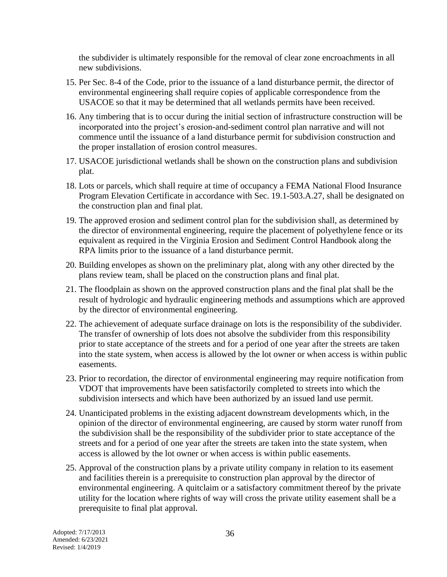the subdivider is ultimately responsible for the removal of clear zone encroachments in all new subdivisions.

- 15. Per Sec. 8-4 of the Code, prior to the issuance of a land disturbance permit, the director of environmental engineering shall require copies of applicable correspondence from the USACOE so that it may be determined that all wetlands permits have been received.
- 16. Any timbering that is to occur during the initial section of infrastructure construction will be incorporated into the project's erosion-and-sediment control plan narrative and will not commence until the issuance of a land disturbance permit for subdivision construction and the proper installation of erosion control measures.
- 17. USACOE jurisdictional wetlands shall be shown on the construction plans and subdivision plat.
- 18. Lots or parcels, which shall require at time of occupancy a FEMA National Flood Insurance Program Elevation Certificate in accordance with Sec. 19.1-503.A.27, shall be designated on the construction plan and final plat.
- 19. The approved erosion and sediment control plan for the subdivision shall, as determined by the director of environmental engineering, require the placement of polyethylene fence or its equivalent as required in the Virginia Erosion and Sediment Control Handbook along the RPA limits prior to the issuance of a land disturbance permit.
- 20. Building envelopes as shown on the preliminary plat, along with any other directed by the plans review team, shall be placed on the construction plans and final plat.
- 21. The floodplain as shown on the approved construction plans and the final plat shall be the result of hydrologic and hydraulic engineering methods and assumptions which are approved by the director of environmental engineering.
- 22. The achievement of adequate surface drainage on lots is the responsibility of the subdivider. The transfer of ownership of lots does not absolve the subdivider from this responsibility prior to state acceptance of the streets and for a period of one year after the streets are taken into the state system, when access is allowed by the lot owner or when access is within public easements.
- 23. Prior to recordation, the director of environmental engineering may require notification from VDOT that improvements have been satisfactorily completed to streets into which the subdivision intersects and which have been authorized by an issued land use permit.
- 24. Unanticipated problems in the existing adjacent downstream developments which, in the opinion of the director of environmental engineering, are caused by storm water runoff from the subdivision shall be the responsibility of the subdivider prior to state acceptance of the streets and for a period of one year after the streets are taken into the state system, when access is allowed by the lot owner or when access is within public easements.
- 25. Approval of the construction plans by a private utility company in relation to its easement and facilities therein is a prerequisite to construction plan approval by the director of environmental engineering. A quitclaim or a satisfactory commitment thereof by the private utility for the location where rights of way will cross the private utility easement shall be a prerequisite to final plat approval.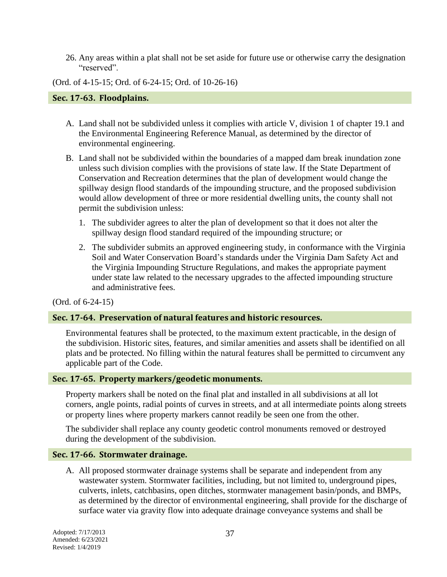26. Any areas within a plat shall not be set aside for future use or otherwise carry the designation "reserved".

(Ord. of 4-15-15; Ord. of 6-24-15; Ord. of 10-26-16)

#### **Sec. 17-63. Floodplains.**

- A. Land shall not be subdivided unless it complies with article V, division 1 of chapter 19.1 and the Environmental Engineering Reference Manual, as determined by the director of environmental engineering.
- B. Land shall not be subdivided within the boundaries of a mapped dam break inundation zone unless such division complies with the provisions of state law. If the State Department of Conservation and Recreation determines that the plan of development would change the spillway design flood standards of the impounding structure, and the proposed subdivision would allow development of three or more residential dwelling units, the county shall not permit the subdivision unless:
	- 1. The subdivider agrees to alter the plan of development so that it does not alter the spillway design flood standard required of the impounding structure; or
	- 2. The subdivider submits an approved engineering study, in conformance with the Virginia Soil and Water Conservation Board's standards under the Virginia Dam Safety Act and the Virginia Impounding Structure Regulations, and makes the appropriate payment under state law related to the necessary upgrades to the affected impounding structure and administrative fees.

#### (Ord. of 6-24-15)

#### **Sec. 17-64. Preservation of natural features and historic resources.**

Environmental features shall be protected, to the maximum extent practicable, in the design of the subdivision. Historic sites, features, and similar amenities and assets shall be identified on all plats and be protected. No filling within the natural features shall be permitted to circumvent any applicable part of the Code.

#### **Sec. 17-65. Property markers/geodetic monuments.**

Property markers shall be noted on the final plat and installed in all subdivisions at all lot corners, angle points, radial points of curves in streets, and at all intermediate points along streets or property lines where property markers cannot readily be seen one from the other.

The subdivider shall replace any county geodetic control monuments removed or destroyed during the development of the subdivision.

#### **Sec. 17-66. Stormwater drainage.**

A. All proposed stormwater drainage systems shall be separate and independent from any wastewater system. Stormwater facilities, including, but not limited to, underground pipes, culverts, inlets, catchbasins, open ditches, stormwater management basin/ponds, and BMPs, as determined by the director of environmental engineering, shall provide for the discharge of surface water via gravity flow into adequate drainage conveyance systems and shall be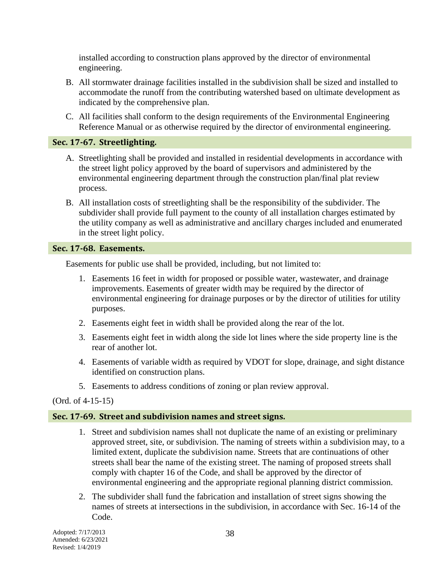installed according to construction plans approved by the director of environmental engineering.

- B. All stormwater drainage facilities installed in the subdivision shall be sized and installed to accommodate the runoff from the contributing watershed based on ultimate development as indicated by the comprehensive plan.
- C. All facilities shall conform to the design requirements of the Environmental Engineering Reference Manual or as otherwise required by the director of environmental engineering.

## **Sec. 17-67. Streetlighting.**

- A. Streetlighting shall be provided and installed in residential developments in accordance with the street light policy approved by the board of supervisors and administered by the environmental engineering department through the construction plan/final plat review process.
- B. All installation costs of streetlighting shall be the responsibility of the subdivider. The subdivider shall provide full payment to the county of all installation charges estimated by the utility company as well as administrative and ancillary charges included and enumerated in the street light policy.

## **Sec. 17-68. Easements.**

Easements for public use shall be provided, including, but not limited to:

- 1. Easements 16 feet in width for proposed or possible water, wastewater, and drainage improvements. Easements of greater width may be required by the director of environmental engineering for drainage purposes or by the director of utilities for utility purposes.
- 2. Easements eight feet in width shall be provided along the rear of the lot.
- 3. Easements eight feet in width along the side lot lines where the side property line is the rear of another lot.
- 4. Easements of variable width as required by VDOT for slope, drainage, and sight distance identified on construction plans.
- 5. Easements to address conditions of zoning or plan review approval.

## (Ord. of 4-15-15)

## **Sec. 17-69. Street and subdivision names and street signs.**

- 1. Street and subdivision names shall not duplicate the name of an existing or preliminary approved street, site, or subdivision. The naming of streets within a subdivision may, to a limited extent, duplicate the subdivision name. Streets that are continuations of other streets shall bear the name of the existing street. The naming of proposed streets shall comply with chapter 16 of the Code, and shall be approved by the director of environmental engineering and the appropriate regional planning district commission.
- 2. The subdivider shall fund the fabrication and installation of street signs showing the names of streets at intersections in the subdivision, in accordance with Sec. 16-14 of the Code.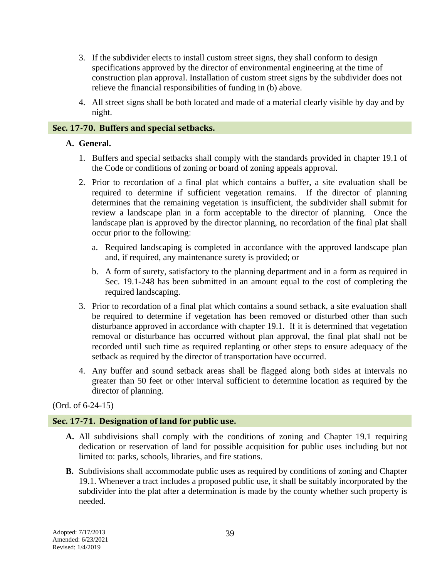- 3. If the subdivider elects to install custom street signs, they shall conform to design specifications approved by the director of environmental engineering at the time of construction plan approval. Installation of custom street signs by the subdivider does not relieve the financial responsibilities of funding in (b) above.
- 4. All street signs shall be both located and made of a material clearly visible by day and by night.

## **Sec. 17-70. Buffers and special setbacks.**

## **A. General.**

- 1. Buffers and special setbacks shall comply with the standards provided in chapter 19.1 of the Code or conditions of zoning or board of zoning appeals approval.
- 2. Prior to recordation of a final plat which contains a buffer, a site evaluation shall be required to determine if sufficient vegetation remains. If the director of planning determines that the remaining vegetation is insufficient, the subdivider shall submit for review a landscape plan in a form acceptable to the director of planning. Once the landscape plan is approved by the director planning, no recordation of the final plat shall occur prior to the following:
	- a. Required landscaping is completed in accordance with the approved landscape plan and, if required, any maintenance surety is provided; or
	- b. A form of surety, satisfactory to the planning department and in a form as required in Sec. 19.1-248 has been submitted in an amount equal to the cost of completing the required landscaping.
- 3. Prior to recordation of a final plat which contains a sound setback, a site evaluation shall be required to determine if vegetation has been removed or disturbed other than such disturbance approved in accordance with chapter 19.1. If it is determined that vegetation removal or disturbance has occurred without plan approval, the final plat shall not be recorded until such time as required replanting or other steps to ensure adequacy of the setback as required by the director of transportation have occurred.
- 4. Any buffer and sound setback areas shall be flagged along both sides at intervals no greater than 50 feet or other interval sufficient to determine location as required by the director of planning.

## (Ord. of 6-24-15)

## **Sec. 17-71. Designation of land for public use.**

- **A.** All subdivisions shall comply with the conditions of zoning and Chapter 19.1 requiring dedication or reservation of land for possible acquisition for public uses including but not limited to: parks, schools, libraries, and fire stations.
- **B.** Subdivisions shall accommodate public uses as required by conditions of zoning and Chapter 19.1. Whenever a tract includes a proposed public use, it shall be suitably incorporated by the subdivider into the plat after a determination is made by the county whether such property is needed.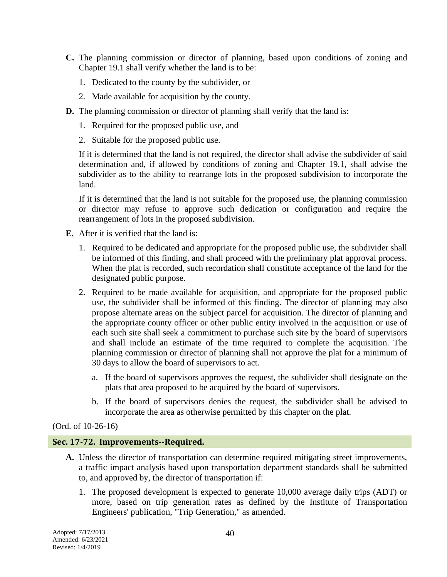- **C.** The planning commission or director of planning, based upon conditions of zoning and Chapter 19.1 shall verify whether the land is to be:
	- 1. Dedicated to the county by the subdivider, or
	- 2. Made available for acquisition by the county.
- **D.** The planning commission or director of planning shall verify that the land is:
	- 1. Required for the proposed public use, and
	- 2. Suitable for the proposed public use.

If it is determined that the land is not required, the director shall advise the subdivider of said determination and, if allowed by conditions of zoning and Chapter 19.1, shall advise the subdivider as to the ability to rearrange lots in the proposed subdivision to incorporate the land.

If it is determined that the land is not suitable for the proposed use, the planning commission or director may refuse to approve such dedication or configuration and require the rearrangement of lots in the proposed subdivision.

- **E.** After it is verified that the land is:
	- 1. Required to be dedicated and appropriate for the proposed public use, the subdivider shall be informed of this finding, and shall proceed with the preliminary plat approval process. When the plat is recorded, such recordation shall constitute acceptance of the land for the designated public purpose.
	- 2. Required to be made available for acquisition, and appropriate for the proposed public use, the subdivider shall be informed of this finding. The director of planning may also propose alternate areas on the subject parcel for acquisition. The director of planning and the appropriate county officer or other public entity involved in the acquisition or use of each such site shall seek a commitment to purchase such site by the board of supervisors and shall include an estimate of the time required to complete the acquisition. The planning commission or director of planning shall not approve the plat for a minimum of 30 days to allow the board of supervisors to act.
		- a. If the board of supervisors approves the request, the subdivider shall designate on the plats that area proposed to be acquired by the board of supervisors.
		- b. If the board of supervisors denies the request, the subdivider shall be advised to incorporate the area as otherwise permitted by this chapter on the plat.

(Ord. of 10-26-16)

#### **Sec. 17-72. Improvements--Required.**

- **A.** Unless the director of transportation can determine required mitigating street improvements, a traffic impact analysis based upon transportation department standards shall be submitted to, and approved by, the director of transportation if:
	- 1. The proposed development is expected to generate 10,000 average daily trips (ADT) or more, based on trip generation rates as defined by the Institute of Transportation Engineers' publication, "Trip Generation," as amended.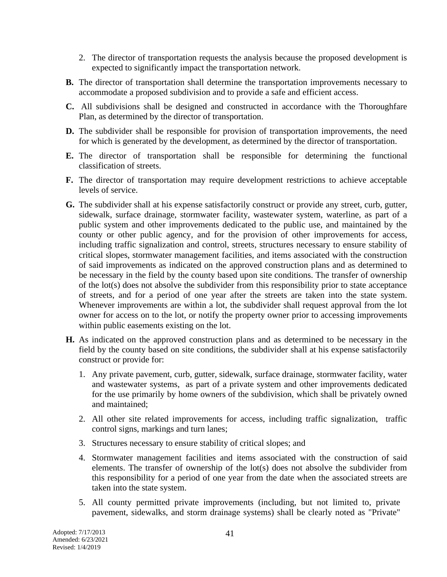- 2. The director of transportation requests the analysis because the proposed development is expected to significantly impact the transportation network.
- **B.** The director of transportation shall determine the transportation improvements necessary to accommodate a proposed subdivision and to provide a safe and efficient access.
- **C.** All subdivisions shall be designed and constructed in accordance with the Thoroughfare Plan, as determined by the director of transportation.
- **D.** The subdivider shall be responsible for provision of transportation improvements, the need for which is generated by the development, as determined by the director of transportation.
- **E.** The director of transportation shall be responsible for determining the functional classification of streets.
- **F.** The director of transportation may require development restrictions to achieve acceptable levels of service.
- **G.** The subdivider shall at his expense satisfactorily construct or provide any street, curb, gutter, sidewalk, surface drainage, stormwater facility, wastewater system, waterline, as part of a public system and other improvements dedicated to the public use, and maintained by the county or other public agency, and for the provision of other improvements for access, including traffic signalization and control, streets, structures necessary to ensure stability of critical slopes, stormwater management facilities, and items associated with the construction of said improvements as indicated on the approved construction plans and as determined to be necessary in the field by the county based upon site conditions. The transfer of ownership of the lot(s) does not absolve the subdivider from this responsibility prior to state acceptance of streets, and for a period of one year after the streets are taken into the state system. Whenever improvements are within a lot, the subdivider shall request approval from the lot owner for access on to the lot, or notify the property owner prior to accessing improvements within public easements existing on the lot.
- **H.** As indicated on the approved construction plans and as determined to be necessary in the field by the county based on site conditions, the subdivider shall at his expense satisfactorily construct or provide for:
	- 1. Any private pavement, curb, gutter, sidewalk, surface drainage, stormwater facility, water and wastewater systems, as part of a private system and other improvements dedicated for the use primarily by home owners of the subdivision, which shall be privately owned and maintained;
	- 2. All other site related improvements for access, including traffic signalization, traffic control signs, markings and turn lanes;
	- 3. Structures necessary to ensure stability of critical slopes; and
	- 4. Stormwater management facilities and items associated with the construction of said elements. The transfer of ownership of the lot(s) does not absolve the subdivider from this responsibility for a period of one year from the date when the associated streets are taken into the state system.
	- 5. All county permitted private improvements (including, but not limited to, private pavement, sidewalks, and storm drainage systems) shall be clearly noted as "Private"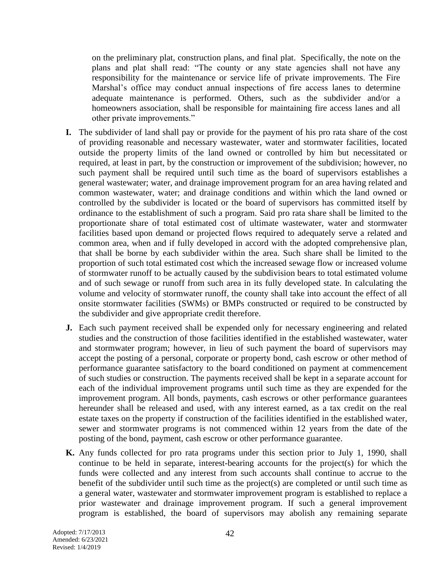on the preliminary plat, construction plans, and final plat. Specifically, the note on the plans and plat shall read: "The county or any state agencies shall not have any responsibility for the maintenance or service life of private improvements. The Fire Marshal's office may conduct annual inspections of fire access lanes to determine adequate maintenance is performed. Others, such as the subdivider and/or a homeowners association, shall be responsible for maintaining fire access lanes and all other private improvements."

- **I.** The subdivider of land shall pay or provide for the payment of his pro rata share of the cost of providing reasonable and necessary wastewater, water and stormwater facilities, located outside the property limits of the land owned or controlled by him but necessitated or required, at least in part, by the construction or improvement of the subdivision; however, no such payment shall be required until such time as the board of supervisors establishes a general wastewater; water, and drainage improvement program for an area having related and common wastewater, water; and drainage conditions and within which the land owned or controlled by the subdivider is located or the board of supervisors has committed itself by ordinance to the establishment of such a program. Said pro rata share shall be limited to the proportionate share of total estimated cost of ultimate wastewater, water and stormwater facilities based upon demand or projected flows required to adequately serve a related and common area, when and if fully developed in accord with the adopted comprehensive plan, that shall be borne by each subdivider within the area. Such share shall be limited to the proportion of such total estimated cost which the increased sewage flow or increased volume of stormwater runoff to be actually caused by the subdivision bears to total estimated volume and of such sewage or runoff from such area in its fully developed state. In calculating the volume and velocity of stormwater runoff, the county shall take into account the effect of all onsite stormwater facilities (SWMs) or BMPs constructed or required to be constructed by the subdivider and give appropriate credit therefore.
- **J.** Each such payment received shall be expended only for necessary engineering and related studies and the construction of those facilities identified in the established wastewater, water and stormwater program; however, in lieu of such payment the board of supervisors may accept the posting of a personal, corporate or property bond, cash escrow or other method of performance guarantee satisfactory to the board conditioned on payment at commencement of such studies or construction. The payments received shall be kept in a separate account for each of the individual improvement programs until such time as they are expended for the improvement program. All bonds, payments, cash escrows or other performance guarantees hereunder shall be released and used, with any interest earned, as a tax credit on the real estate taxes on the property if construction of the facilities identified in the established water, sewer and stormwater programs is not commenced within 12 years from the date of the posting of the bond, payment, cash escrow or other performance guarantee.
- **K.** Any funds collected for pro rata programs under this section prior to July 1, 1990, shall continue to be held in separate, interest-bearing accounts for the project(s) for which the funds were collected and any interest from such accounts shall continue to accrue to the benefit of the subdivider until such time as the project(s) are completed or until such time as a general water, wastewater and stormwater improvement program is established to replace a prior wastewater and drainage improvement program. If such a general improvement program is established, the board of supervisors may abolish any remaining separate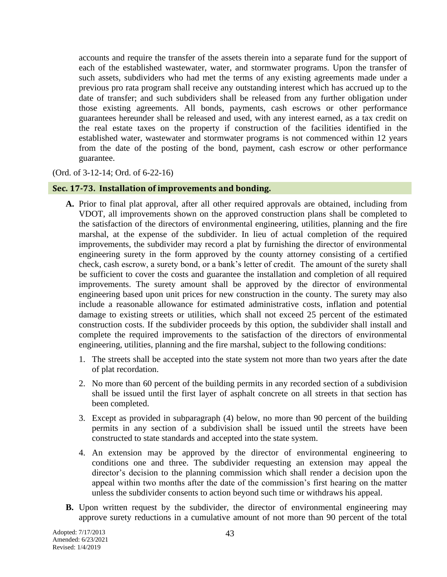accounts and require the transfer of the assets therein into a separate fund for the support of each of the established wastewater, water, and stormwater programs. Upon the transfer of such assets, subdividers who had met the terms of any existing agreements made under a previous pro rata program shall receive any outstanding interest which has accrued up to the date of transfer; and such subdividers shall be released from any further obligation under those existing agreements. All bonds, payments, cash escrows or other performance guarantees hereunder shall be released and used, with any interest earned, as a tax credit on the real estate taxes on the property if construction of the facilities identified in the established water, wastewater and stormwater programs is not commenced within 12 years from the date of the posting of the bond, payment, cash escrow or other performance guarantee.

(Ord. of 3-12-14; Ord. of 6-22-16)

#### **Sec. 17-73. Installation of improvements and bonding.**

- **A.** Prior to final plat approval, after all other required approvals are obtained, including from VDOT, all improvements shown on the approved construction plans shall be completed to the satisfaction of the directors of environmental engineering, utilities, planning and the fire marshal, at the expense of the subdivider. In lieu of actual completion of the required improvements, the subdivider may record a plat by furnishing the director of environmental engineering surety in the form approved by the county attorney consisting of a certified check, cash escrow, a surety bond, or a bank's letter of credit. The amount of the surety shall be sufficient to cover the costs and guarantee the installation and completion of all required improvements. The surety amount shall be approved by the director of environmental engineering based upon unit prices for new construction in the county. The surety may also include a reasonable allowance for estimated administrative costs, inflation and potential damage to existing streets or utilities, which shall not exceed 25 percent of the estimated construction costs. If the subdivider proceeds by this option, the subdivider shall install and complete the required improvements to the satisfaction of the directors of environmental engineering, utilities, planning and the fire marshal, subject to the following conditions:
	- 1. The streets shall be accepted into the state system not more than two years after the date of plat recordation.
	- 2. No more than 60 percent of the building permits in any recorded section of a subdivision shall be issued until the first layer of asphalt concrete on all streets in that section has been completed.
	- 3. Except as provided in subparagraph (4) below, no more than 90 percent of the building permits in any section of a subdivision shall be issued until the streets have been constructed to state standards and accepted into the state system.
	- 4. An extension may be approved by the director of environmental engineering to conditions one and three. The subdivider requesting an extension may appeal the director's decision to the planning commission which shall render a decision upon the appeal within two months after the date of the commission's first hearing on the matter unless the subdivider consents to action beyond such time or withdraws his appeal.
- **B.** Upon written request by the subdivider, the director of environmental engineering may approve surety reductions in a cumulative amount of not more than 90 percent of the total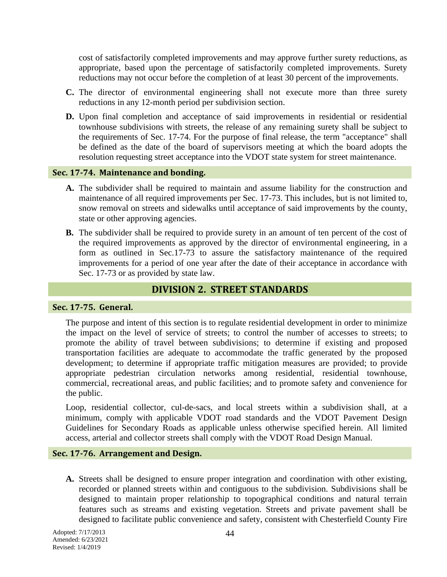cost of satisfactorily completed improvements and may approve further surety reductions, as appropriate, based upon the percentage of satisfactorily completed improvements. Surety reductions may not occur before the completion of at least 30 percent of the improvements.

- **C.** The director of environmental engineering shall not execute more than three surety reductions in any 12-month period per subdivision section.
- **D.** Upon final completion and acceptance of said improvements in residential or residential townhouse subdivisions with streets, the release of any remaining surety shall be subject to the requirements of Sec. 17-74. For the purpose of final release, the term "acceptance" shall be defined as the date of the board of supervisors meeting at which the board adopts the resolution requesting street acceptance into the VDOT state system for street maintenance.

#### **Sec. 17-74. Maintenance and bonding.**

- **A.** The subdivider shall be required to maintain and assume liability for the construction and maintenance of all required improvements per Sec. 17-73. This includes, but is not limited to, snow removal on streets and sidewalks until acceptance of said improvements by the county, state or other approving agencies.
- **B.** The subdivider shall be required to provide surety in an amount of ten percent of the cost of the required improvements as approved by the director of environmental engineering, in a form as outlined in Sec.17-73 to assure the satisfactory maintenance of the required improvements for a period of one year after the date of their acceptance in accordance with Sec. 17-73 or as provided by state law.

## **DIVISION 2. STREET STANDARDS**

#### **Sec. 17-75. General.**

The purpose and intent of this section is to regulate residential development in order to minimize the impact on the level of service of streets; to control the number of accesses to streets; to promote the ability of travel between subdivisions; to determine if existing and proposed transportation facilities are adequate to accommodate the traffic generated by the proposed development; to determine if appropriate traffic mitigation measures are provided; to provide appropriate pedestrian circulation networks among residential, residential townhouse, commercial, recreational areas, and public facilities; and to promote safety and convenience for the public.

Loop, residential collector, cul-de-sacs, and local streets within a subdivision shall, at a minimum, comply with applicable VDOT road standards and the VDOT Pavement Design Guidelines for Secondary Roads as applicable unless otherwise specified herein. All limited access, arterial and collector streets shall comply with the VDOT Road Design Manual.

#### **Sec. 17-76. Arrangement and Design.**

**A.** Streets shall be designed to ensure proper integration and coordination with other existing, recorded or planned streets within and contiguous to the subdivision. Subdivisions shall be designed to maintain proper relationship to topographical conditions and natural terrain features such as streams and existing vegetation. Streets and private pavement shall be designed to facilitate public convenience and safety, consistent with Chesterfield County Fire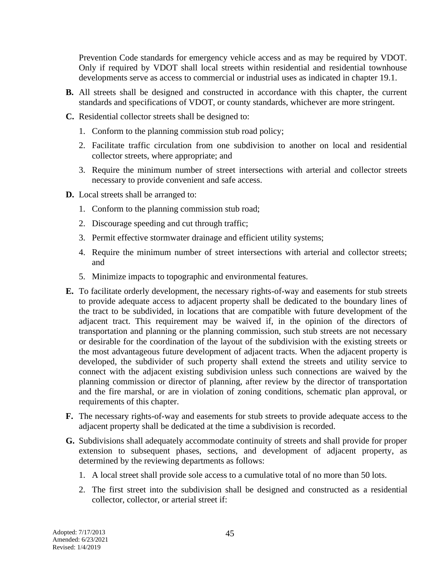Prevention Code standards for emergency vehicle access and as may be required by VDOT. Only if required by VDOT shall local streets within residential and residential townhouse developments serve as access to commercial or industrial uses as indicated in chapter 19.1.

- **B.** All streets shall be designed and constructed in accordance with this chapter, the current standards and specifications of VDOT, or county standards, whichever are more stringent.
- **C.** Residential collector streets shall be designed to:
	- 1. Conform to the planning commission stub road policy;
	- 2. Facilitate traffic circulation from one subdivision to another on local and residential collector streets, where appropriate; and
	- 3. Require the minimum number of street intersections with arterial and collector streets necessary to provide convenient and safe access.
- **D.** Local streets shall be arranged to:
	- 1. Conform to the planning commission stub road;
	- 2. Discourage speeding and cut through traffic;
	- 3. Permit effective stormwater drainage and efficient utility systems;
	- 4. Require the minimum number of street intersections with arterial and collector streets; and
	- 5. Minimize impacts to topographic and environmental features.
- **E.** To facilitate orderly development, the necessary rights-of-way and easements for stub streets to provide adequate access to adjacent property shall be dedicated to the boundary lines of the tract to be subdivided, in locations that are compatible with future development of the adjacent tract. This requirement may be waived if, in the opinion of the directors of transportation and planning or the planning commission, such stub streets are not necessary or desirable for the coordination of the layout of the subdivision with the existing streets or the most advantageous future development of adjacent tracts. When the adjacent property is developed, the subdivider of such property shall extend the streets and utility service to connect with the adjacent existing subdivision unless such connections are waived by the planning commission or director of planning, after review by the director of transportation and the fire marshal, or are in violation of zoning conditions, schematic plan approval, or requirements of this chapter.
- **F.** The necessary rights-of-way and easements for stub streets to provide adequate access to the adjacent property shall be dedicated at the time a subdivision is recorded.
- **G.** Subdivisions shall adequately accommodate continuity of streets and shall provide for proper extension to subsequent phases, sections, and development of adjacent property, as determined by the reviewing departments as follows:
	- 1. A local street shall provide sole access to a cumulative total of no more than 50 lots.
	- 2. The first street into the subdivision shall be designed and constructed as a residential collector, collector, or arterial street if: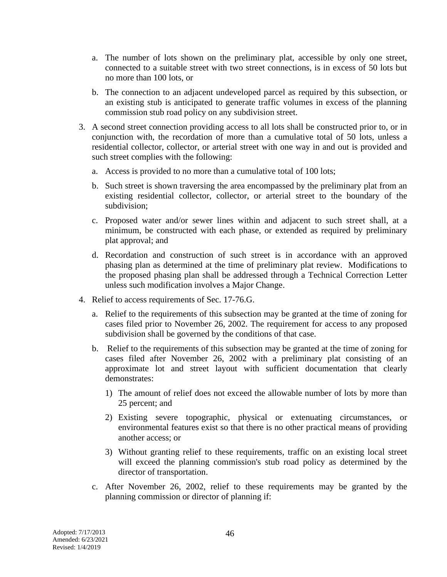- a. The number of lots shown on the preliminary plat, accessible by only one street, connected to a suitable street with two street connections, is in excess of 50 lots but no more than 100 lots, or
- b. The connection to an adjacent undeveloped parcel as required by this subsection, or an existing stub is anticipated to generate traffic volumes in excess of the planning commission stub road policy on any subdivision street.
- 3. A second street connection providing access to all lots shall be constructed prior to, or in conjunction with, the recordation of more than a cumulative total of 50 lots, unless a residential collector, collector, or arterial street with one way in and out is provided and such street complies with the following:
	- a. Access is provided to no more than a cumulative total of 100 lots;
	- b. Such street is shown traversing the area encompassed by the preliminary plat from an existing residential collector, collector, or arterial street to the boundary of the subdivision;
	- c. Proposed water and/or sewer lines within and adjacent to such street shall, at a minimum, be constructed with each phase, or extended as required by preliminary plat approval; and
	- d. Recordation and construction of such street is in accordance with an approved phasing plan as determined at the time of preliminary plat review. Modifications to the proposed phasing plan shall be addressed through a Technical Correction Letter unless such modification involves a Major Change.
- 4. Relief to access requirements of Sec. 17-76.G.
	- a. Relief to the requirements of this subsection may be granted at the time of zoning for cases filed prior to November 26, 2002. The requirement for access to any proposed subdivision shall be governed by the conditions of that case.
	- b. Relief to the requirements of this subsection may be granted at the time of zoning for cases filed after November 26, 2002 with a preliminary plat consisting of an approximate lot and street layout with sufficient documentation that clearly demonstrates:
		- 1) The amount of relief does not exceed the allowable number of lots by more than 25 percent; and
		- 2) Existing severe topographic, physical or extenuating circumstances, or environmental features exist so that there is no other practical means of providing another access; or
		- 3) Without granting relief to these requirements, traffic on an existing local street will exceed the planning commission's stub road policy as determined by the director of transportation.
	- c. After November 26, 2002, relief to these requirements may be granted by the planning commission or director of planning if: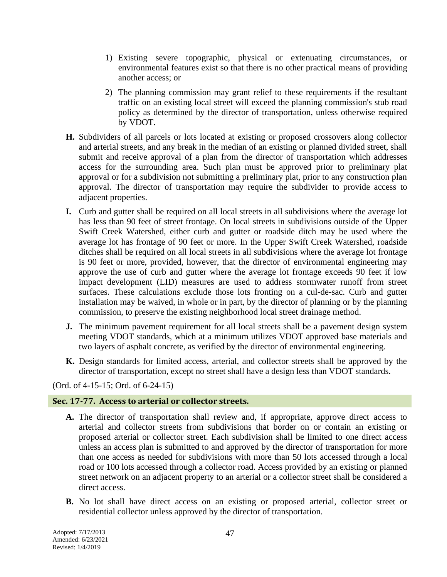- 1) Existing severe topographic, physical or extenuating circumstances, or environmental features exist so that there is no other practical means of providing another access; or
- 2) The planning commission may grant relief to these requirements if the resultant traffic on an existing local street will exceed the planning commission's stub road policy as determined by the director of transportation, unless otherwise required by VDOT.
- **H.** Subdividers of all parcels or lots located at existing or proposed crossovers along collector and arterial streets, and any break in the median of an existing or planned divided street, shall submit and receive approval of a plan from the director of transportation which addresses access for the surrounding area. Such plan must be approved prior to preliminary plat approval or for a subdivision not submitting a preliminary plat, prior to any construction plan approval. The director of transportation may require the subdivider to provide access to adjacent properties.
- **I.** Curb and gutter shall be required on all local streets in all subdivisions where the average lot has less than 90 feet of street frontage. On local streets in subdivisions outside of the Upper Swift Creek Watershed, either curb and gutter or roadside ditch may be used where the average lot has frontage of 90 feet or more. In the Upper Swift Creek Watershed, roadside ditches shall be required on all local streets in all subdivisions where the average lot frontage is 90 feet or more, provided, however, that the director of environmental engineering may approve the use of curb and gutter where the average lot frontage exceeds 90 feet if low impact development (LID) measures are used to address stormwater runoff from street surfaces. These calculations exclude those lots fronting on a cul-de-sac. Curb and gutter installation may be waived, in whole or in part, by the director of planning or by the planning commission, to preserve the existing neighborhood local street drainage method.
- **J.** The minimum pavement requirement for all local streets shall be a pavement design system meeting VDOT standards, which at a minimum utilizes VDOT approved base materials and two layers of asphalt concrete, as verified by the director of environmental engineering.
- **K.** Design standards for limited access, arterial, and collector streets shall be approved by the director of transportation, except no street shall have a design less than VDOT standards.

(Ord. of 4-15-15; Ord. of 6-24-15)

#### **Sec. 17-77. Access to arterial or collector streets.**

- **A.** The director of transportation shall review and, if appropriate, approve direct access to arterial and collector streets from subdivisions that border on or contain an existing or proposed arterial or collector street. Each subdivision shall be limited to one direct access unless an access plan is submitted to and approved by the director of transportation for more than one access as needed for subdivisions with more than 50 lots accessed through a local road or 100 lots accessed through a collector road. Access provided by an existing or planned street network on an adjacent property to an arterial or a collector street shall be considered a direct access.
- **B.** No lot shall have direct access on an existing or proposed arterial, collector street or residential collector unless approved by the director of transportation.

Adopted: 7/17/2013 Amended: 6/23/2021 Revised: 1/4/2019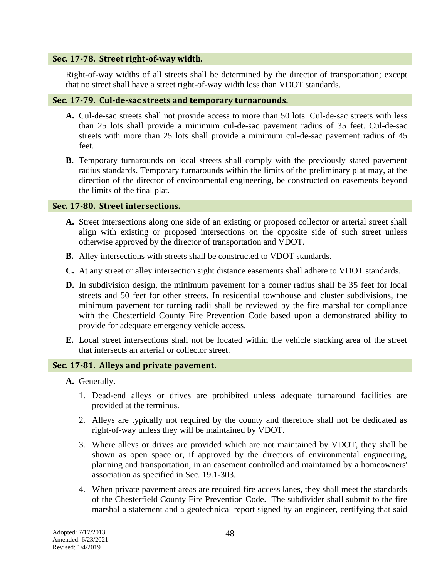#### **Sec. 17-78. Street right-of-way width.**

Right-of-way widths of all streets shall be determined by the director of transportation; except that no street shall have a street right-of-way width less than VDOT standards.

#### **Sec. 17-79. Cul-de-sac streets and temporary turnarounds.**

- **A.** Cul-de-sac streets shall not provide access to more than 50 lots. Cul-de-sac streets with less than 25 lots shall provide a minimum cul-de-sac pavement radius of 35 feet. Cul-de-sac streets with more than 25 lots shall provide a minimum cul-de-sac pavement radius of 45 feet.
- **B.** Temporary turnarounds on local streets shall comply with the previously stated pavement radius standards. Temporary turnarounds within the limits of the preliminary plat may, at the direction of the director of environmental engineering, be constructed on easements beyond the limits of the final plat.

#### **Sec. 17-80. Street intersections.**

- **A.** Street intersections along one side of an existing or proposed collector or arterial street shall align with existing or proposed intersections on the opposite side of such street unless otherwise approved by the director of transportation and VDOT.
- **B.** Alley intersections with streets shall be constructed to VDOT standards.
- **C.** At any street or alley intersection sight distance easements shall adhere to VDOT standards.
- **D.** In subdivision design, the minimum pavement for a corner radius shall be 35 feet for local streets and 50 feet for other streets. In residential townhouse and cluster subdivisions, the minimum pavement for turning radii shall be reviewed by the fire marshal for compliance with the Chesterfield County Fire Prevention Code based upon a demonstrated ability to provide for adequate emergency vehicle access.
- **E.** Local street intersections shall not be located within the vehicle stacking area of the street that intersects an arterial or collector street.

#### **Sec. 17-81. Alleys and private pavement.**

- **A.** Generally.
	- 1. Dead-end alleys or drives are prohibited unless adequate turnaround facilities are provided at the terminus.
	- 2. Alleys are typically not required by the county and therefore shall not be dedicated as right-of-way unless they will be maintained by VDOT.
	- 3. Where alleys or drives are provided which are not maintained by VDOT, they shall be shown as open space or, if approved by the directors of environmental engineering, planning and transportation, in an easement controlled and maintained by a homeowners' association as specified in Sec. 19.1-303.
	- 4. When private pavement areas are required fire access lanes, they shall meet the standards of the Chesterfield County Fire Prevention Code. The subdivider shall submit to the fire marshal a statement and a geotechnical report signed by an engineer, certifying that said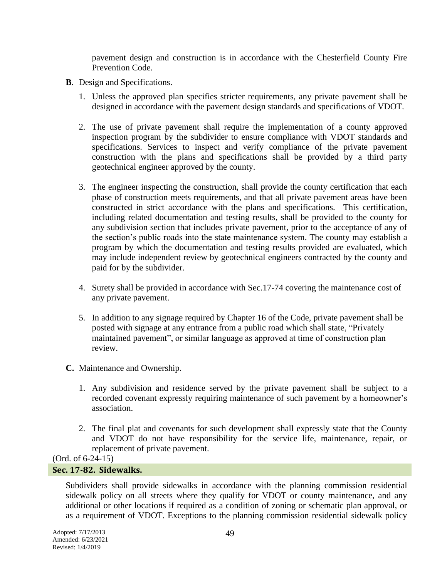pavement design and construction is in accordance with the Chesterfield County Fire Prevention Code.

- **B**. Design and Specifications.
	- 1. Unless the approved plan specifies stricter requirements, any private pavement shall be designed in accordance with the pavement design standards and specifications of VDOT.
	- 2. The use of private pavement shall require the implementation of a county approved inspection program by the subdivider to ensure compliance with VDOT standards and specifications. Services to inspect and verify compliance of the private pavement construction with the plans and specifications shall be provided by a third party geotechnical engineer approved by the county.
	- 3. The engineer inspecting the construction, shall provide the county certification that each phase of construction meets requirements, and that all private pavement areas have been constructed in strict accordance with the plans and specifications. This certification, including related documentation and testing results, shall be provided to the county for any subdivision section that includes private pavement, prior to the acceptance of any of the section's public roads into the state maintenance system. The county may establish a program by which the documentation and testing results provided are evaluated, which may include independent review by geotechnical engineers contracted by the county and paid for by the subdivider.
	- 4. Surety shall be provided in accordance with Sec.17-74 covering the maintenance cost of any private pavement.
	- 5. In addition to any signage required by Chapter 16 of the Code, private pavement shall be posted with signage at any entrance from a public road which shall state, "Privately maintained pavement", or similar language as approved at time of construction plan review.
- **C.** Maintenance and Ownership.
	- 1. Any subdivision and residence served by the private pavement shall be subject to a recorded covenant expressly requiring maintenance of such pavement by a homeowner's association.
	- 2. The final plat and covenants for such development shall expressly state that the County and VDOT do not have responsibility for the service life, maintenance, repair, or replacement of private pavement.

(Ord. of 6-24-15)

#### **Sec. 17-82. Sidewalks.**

Subdividers shall provide sidewalks in accordance with the planning commission residential sidewalk policy on all streets where they qualify for VDOT or county maintenance, and any additional or other locations if required as a condition of zoning or schematic plan approval, or as a requirement of VDOT. Exceptions to the planning commission residential sidewalk policy

Adopted: 7/17/2013 Amended: 6/23/2021 Revised: 1/4/2019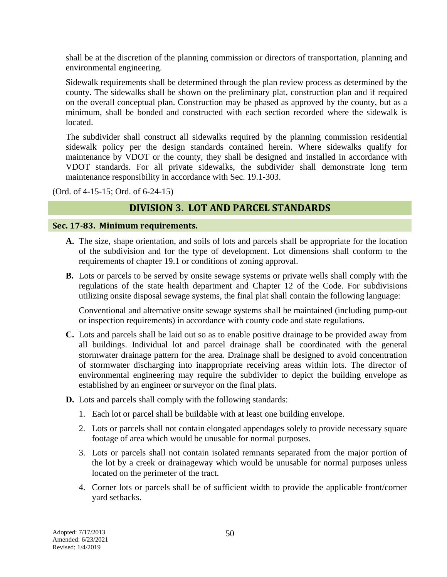shall be at the discretion of the planning commission or directors of transportation, planning and environmental engineering.

Sidewalk requirements shall be determined through the plan review process as determined by the county. The sidewalks shall be shown on the preliminary plat, construction plan and if required on the overall conceptual plan. Construction may be phased as approved by the county, but as a minimum, shall be bonded and constructed with each section recorded where the sidewalk is located.

The subdivider shall construct all sidewalks required by the planning commission residential sidewalk policy per the design standards contained herein. Where sidewalks qualify for maintenance by VDOT or the county, they shall be designed and installed in accordance with VDOT standards. For all private sidewalks, the subdivider shall demonstrate long term maintenance responsibility in accordance with Sec. 19.1-303.

(Ord. of 4-15-15; Ord. of 6-24-15)

## **DIVISION 3. LOT AND PARCEL STANDARDS**

#### **Sec. 17-83. Minimum requirements.**

- **A.** The size, shape orientation, and soils of lots and parcels shall be appropriate for the location of the subdivision and for the type of development. Lot dimensions shall conform to the requirements of chapter 19.1 or conditions of zoning approval.
- **B.** Lots or parcels to be served by onsite sewage systems or private wells shall comply with the regulations of the state health department and Chapter 12 of the Code. For subdivisions utilizing onsite disposal sewage systems, the final plat shall contain the following language:

Conventional and alternative onsite sewage systems shall be maintained (including pump-out or inspection requirements) in accordance with county code and state regulations.

- **C.** Lots and parcels shall be laid out so as to enable positive drainage to be provided away from all buildings. Individual lot and parcel drainage shall be coordinated with the general stormwater drainage pattern for the area. Drainage shall be designed to avoid concentration of stormwater discharging into inappropriate receiving areas within lots. The director of environmental engineering may require the subdivider to depict the building envelope as established by an engineer or surveyor on the final plats.
- **D.** Lots and parcels shall comply with the following standards:
	- 1. Each lot or parcel shall be buildable with at least one building envelope.
	- 2. Lots or parcels shall not contain elongated appendages solely to provide necessary square footage of area which would be unusable for normal purposes.
	- 3. Lots or parcels shall not contain isolated remnants separated from the major portion of the lot by a creek or drainageway which would be unusable for normal purposes unless located on the perimeter of the tract.
	- 4. Corner lots or parcels shall be of sufficient width to provide the applicable front/corner yard setbacks.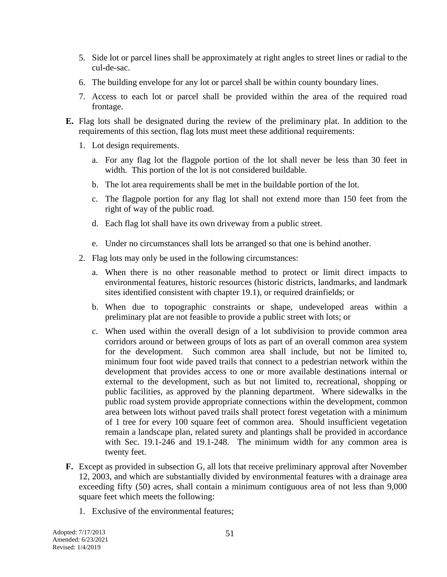- 5. Side lot or parcel lines shall be approximately at right angles to street lines or radial to the cul-de-sac.
- 6. The building envelope for any lot or parcel shall be within county boundary lines.
- 7. Access to each lot or parcel shall be provided within the area of the required road frontage.
- **E.** Flag lots shall be designated during the review of the preliminary plat. In addition to the requirements of this section, flag lots must meet these additional requirements:
	- 1. Lot design requirements.
		- a. For any flag lot the flagpole portion of the lot shall never be less than 30 feet in width. This portion of the lot is not considered buildable.
		- b. The lot area requirements shall be met in the buildable portion of the lot.
		- c. The flagpole portion for any flag lot shall not extend more than 150 feet from the right of way of the public road.
		- d. Each flag lot shall have its own driveway from a public street.
		- e. Under no circumstances shall lots be arranged so that one is behind another.
	- 2. Flag lots may only be used in the following circumstances:
		- a. When there is no other reasonable method to protect or limit direct impacts to environmental features, historic resources (historic districts, landmarks, and landmark sites identified consistent with chapter 19.1), or required drainfields; or
		- b. When due to topographic constraints or shape, undeveloped areas within a preliminary plat are not feasible to provide a public street with lots; or
		- c. When used within the overall design of a lot subdivision to provide common area corridors around or between groups of lots as part of an overall common area system for the development. Such common area shall include, but not be limited to, minimum four foot wide paved trails that connect to a pedestrian network within the development that provides access to one or more available destinations internal or external to the development, such as but not limited to, recreational, shopping or public facilities, as approved by the planning department. Where sidewalks in the public road system provide appropriate connections within the development, common area between lots without paved trails shall protect forest vegetation with a minimum of 1 tree for every 100 square feet of common area. Should insufficient vegetation remain a landscape plan, related surety and plantings shall be provided in accordance with Sec. 19.1-246 and 19.1-248. The minimum width for any common area is twenty feet.
- **F.** Except as provided in subsection G, all lots that receive preliminary approval after November 12, 2003, and which are substantially divided by environmental features with a drainage area exceeding fifty (50) acres, shall contain a minimum contiguous area of not less than 9,000 square feet which meets the following:
	- 1. Exclusive of the environmental features;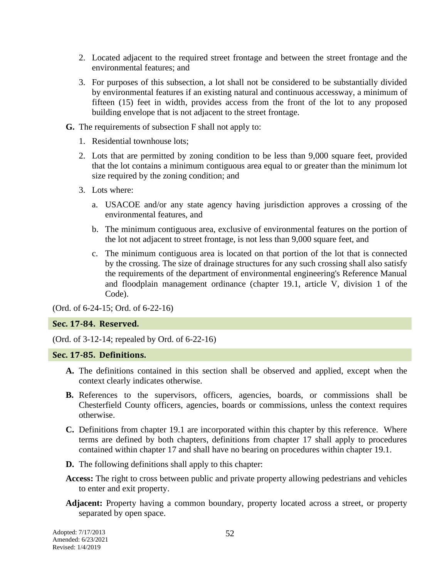- 2. Located adjacent to the required street frontage and between the street frontage and the environmental features; and
- 3. For purposes of this subsection, a lot shall not be considered to be substantially divided by environmental features if an existing natural and continuous accessway, a minimum of fifteen (15) feet in width, provides access from the front of the lot to any proposed building envelope that is not adjacent to the street frontage.
- **G.** The requirements of subsection F shall not apply to:
	- 1. Residential townhouse lots;
	- 2. Lots that are permitted by zoning condition to be less than 9,000 square feet, provided that the lot contains a minimum contiguous area equal to or greater than the minimum lot size required by the zoning condition; and
	- 3. Lots where:
		- a. USACOE and/or any state agency having jurisdiction approves a crossing of the environmental features, and
		- b. The minimum contiguous area, exclusive of environmental features on the portion of the lot not adjacent to street frontage, is not less than 9,000 square feet, and
		- c. The minimum contiguous area is located on that portion of the lot that is connected by the crossing. The size of drainage structures for any such crossing shall also satisfy the requirements of the department of environmental engineering's Reference Manual and floodplain management ordinance (chapter 19.1, article V, division 1 of the Code).

(Ord. of 6-24-15; Ord. of 6-22-16)

#### **Sec. 17-84. Reserved.**

(Ord. of 3-12-14; repealed by Ord. of 6-22-16)

#### **Sec. 17-85. Definitions.**

- **A.** The definitions contained in this section shall be observed and applied, except when the context clearly indicates otherwise.
- **B.** References to the supervisors, officers, agencies, boards, or commissions shall be Chesterfield County officers, agencies, boards or commissions, unless the context requires otherwise.
- **C.** Definitions from chapter 19.1 are incorporated within this chapter by this reference. Where terms are defined by both chapters, definitions from chapter 17 shall apply to procedures contained within chapter 17 and shall have no bearing on procedures within chapter 19.1.
- **D.** The following definitions shall apply to this chapter:
- **Access:** The right to cross between public and private property allowing pedestrians and vehicles to enter and exit property.
- **Adjacent:** Property having a common boundary, property located across a street, or property separated by open space.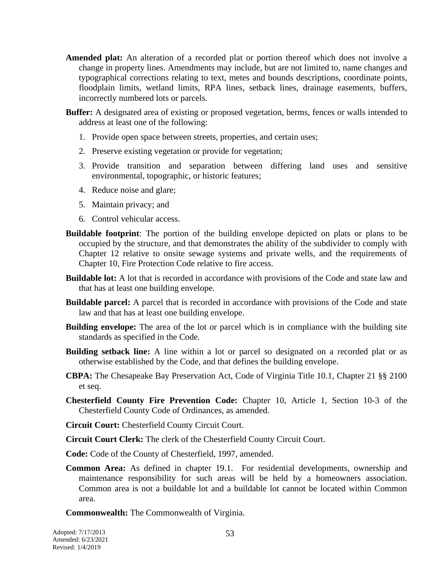- **Amended plat:** An alteration of a recorded plat or portion thereof which does not involve a change in property lines. Amendments may include, but are not limited to, name changes and typographical corrections relating to text, metes and bounds descriptions, coordinate points, floodplain limits, wetland limits, RPA lines, setback lines, drainage easements, buffers, incorrectly numbered lots or parcels.
- **Buffer:** A designated area of existing or proposed vegetation, berms, fences or walls intended to address at least one of the following:
	- 1. Provide open space between streets, properties, and certain uses;
	- 2. Preserve existing vegetation or provide for vegetation;
	- 3. Provide transition and separation between differing land uses and sensitive environmental, topographic, or historic features;
	- 4. Reduce noise and glare;
	- 5. Maintain privacy; and
	- 6. Control vehicular access.
- **Buildable footprint**: The portion of the building envelope depicted on plats or plans to be occupied by the structure, and that demonstrates the ability of the subdivider to comply with Chapter 12 relative to onsite sewage systems and private wells, and the requirements of Chapter 10, Fire Protection Code relative to fire access.
- **Buildable lot:** A lot that is recorded in accordance with provisions of the Code and state law and that has at least one building envelope.
- **Buildable parcel:** A parcel that is recorded in accordance with provisions of the Code and state law and that has at least one building envelope.
- **Building envelope:** The area of the lot or parcel which is in compliance with the building site standards as specified in the Code.
- **Building setback line:** A line within a lot or parcel so designated on a recorded plat or as otherwise established by the Code, and that defines the building envelope.
- **CBPA:** The Chesapeake Bay Preservation Act, Code of Virginia Title 10.1, Chapter 21 §§ 2100 et seq.
- **Chesterfield County Fire Prevention Code:** Chapter 10, Article 1, Section 10-3 of the Chesterfield County Code of Ordinances, as amended.
- **Circuit Court:** Chesterfield County Circuit Court.
- **Circuit Court Clerk:** The clerk of the Chesterfield County Circuit Court.

**Code:** Code of the County of Chesterfield, 1997, amended.

**Common Area:** As defined in chapter 19.1. For residential developments, ownership and maintenance responsibility for such areas will be held by a homeowners association. Common area is not a buildable lot and a buildable lot cannot be located within Common area.

**Commonwealth:** The Commonwealth of Virginia.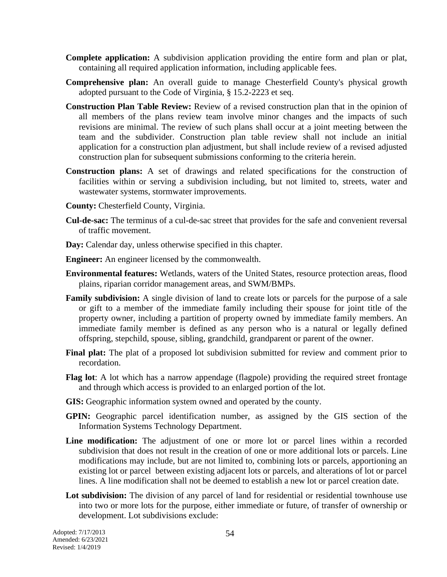- **Complete application:** A subdivision application providing the entire form and plan or plat, containing all required application information, including applicable fees.
- **Comprehensive plan:** An overall guide to manage Chesterfield County's physical growth adopted pursuant to the Code of Virginia, § 15.2-2223 et seq.
- **Construction Plan Table Review:** Review of a revised construction plan that in the opinion of all members of the plans review team involve minor changes and the impacts of such revisions are minimal. The review of such plans shall occur at a joint meeting between the team and the subdivider. Construction plan table review shall not include an initial application for a construction plan adjustment, but shall include review of a revised adjusted construction plan for subsequent submissions conforming to the criteria herein.
- **Construction plans:** A set of drawings and related specifications for the construction of facilities within or serving a subdivision including, but not limited to, streets, water and wastewater systems, stormwater improvements.
- **County:** Chesterfield County, Virginia.
- **Cul-de-sac:** The terminus of a cul-de-sac street that provides for the safe and convenient reversal of traffic movement.
- **Day:** Calendar day, unless otherwise specified in this chapter.
- **Engineer:** An engineer licensed by the commonwealth.
- **Environmental features:** Wetlands, waters of the United States, resource protection areas, flood plains, riparian corridor management areas, and SWM/BMPs.
- **Family subdivision:** A single division of land to create lots or parcels for the purpose of a sale or gift to a member of the immediate family including their spouse for joint title of the property owner, including a partition of property owned by immediate family members. An immediate family member is defined as any person who is a natural or legally defined offspring, stepchild, spouse, sibling, grandchild, grandparent or parent of the owner.
- **Final plat:** The plat of a proposed lot subdivision submitted for review and comment prior to recordation.
- **Flag lot**: A lot which has a narrow appendage (flagpole) providing the required street frontage and through which access is provided to an enlarged portion of the lot.
- **GIS:** Geographic information system owned and operated by the county.
- **GPIN:** Geographic parcel identification number, as assigned by the GIS section of the Information Systems Technology Department.
- **Line modification:** The adjustment of one or more lot or parcel lines within a recorded subdivision that does not result in the creation of one or more additional lots or parcels. Line modifications may include, but are not limited to, combining lots or parcels, apportioning an existing lot or parcel between existing adjacent lots or parcels, and alterations of lot or parcel lines. A line modification shall not be deemed to establish a new lot or parcel creation date.
- Lot subdivision: The division of any parcel of land for residential or residential townhouse use into two or more lots for the purpose, either immediate or future, of transfer of ownership or development. Lot subdivisions exclude: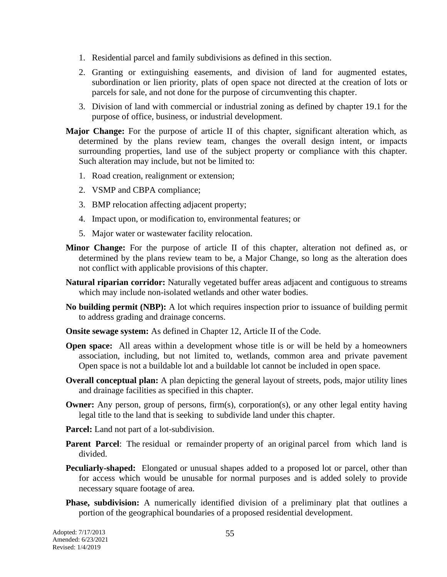- 1. Residential parcel and family subdivisions as defined in this section.
- 2. Granting or extinguishing easements, and division of land for augmented estates, subordination or lien priority, plats of open space not directed at the creation of lots or parcels for sale, and not done for the purpose of circumventing this chapter.
- 3. Division of land with commercial or industrial zoning as defined by chapter 19.1 for the purpose of office, business, or industrial development.
- **Major Change:** For the purpose of article II of this chapter, significant alteration which, as determined by the plans review team, changes the overall design intent, or impacts surrounding properties, land use of the subject property or compliance with this chapter. Such alteration may include, but not be limited to:
	- 1. Road creation, realignment or extension;
	- 2. VSMP and CBPA compliance;
	- 3. BMP relocation affecting adjacent property;
	- 4. Impact upon, or modification to, environmental features; or
	- 5. Major water or wastewater facility relocation.
- **Minor Change:** For the purpose of article II of this chapter, alteration not defined as, or determined by the plans review team to be, a Major Change, so long as the alteration does not conflict with applicable provisions of this chapter.
- **Natural riparian corridor:** Naturally vegetated buffer areas adjacent and contiguous to streams which may include non-isolated wetlands and other water bodies.
- **No building permit (NBP):** A lot which requires inspection prior to issuance of building permit to address grading and drainage concerns.
- **Onsite sewage system:** As defined in Chapter 12, Article II of the Code.
- **Open space:** All areas within a development whose title is or will be held by a homeowners association, including, but not limited to, wetlands, common area and private pavement Open space is not a buildable lot and a buildable lot cannot be included in open space.
- **Overall conceptual plan:** A plan depicting the general layout of streets, pods, major utility lines and drainage facilities as specified in this chapter.
- **Owner:** Any person, group of persons, firm(s), corporation(s), or any other legal entity having legal title to the land that is seeking to subdivide land under this chapter.
- **Parcel:** Land not part of a lot-subdivision.
- **Parent Parcel:** The residual or remainder property of an original parcel from which land is divided.
- **Peculiarly-shaped:** Elongated or unusual shapes added to a proposed lot or parcel, other than for access which would be unusable for normal purposes and is added solely to provide necessary square footage of area.
- **Phase, subdivision:** A numerically identified division of a preliminary plat that outlines a portion of the geographical boundaries of a proposed residential development.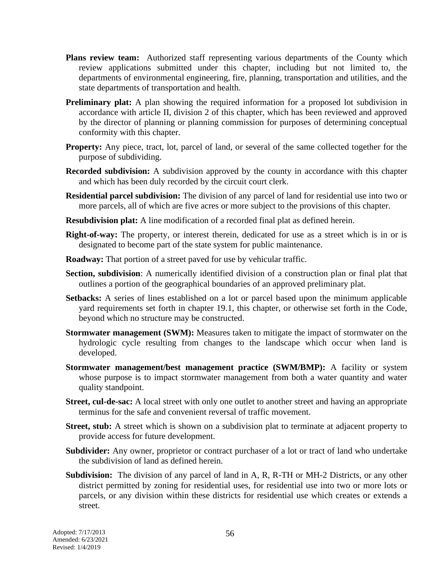- **Plans review team:** Authorized staff representing various departments of the County which review applications submitted under this chapter, including but not limited to, the departments of environmental engineering, fire, planning, transportation and utilities, and the state departments of transportation and health.
- **Preliminary plat:** A plan showing the required information for a proposed lot subdivision in accordance with article II, division 2 of this chapter, which has been reviewed and approved by the director of planning or planning commission for purposes of determining conceptual conformity with this chapter.
- **Property:** Any piece, tract, lot, parcel of land, or several of the same collected together for the purpose of subdividing.
- **Recorded subdivision:** A subdivision approved by the county in accordance with this chapter and which has been duly recorded by the circuit court clerk.
- **Residential parcel subdivision:** The division of any parcel of land for residential use into two or more parcels, all of which are five acres or more subject to the provisions of this chapter.
- **Resubdivision plat:** A line modification of a recorded final plat as defined herein.
- **Right-of-way:** The property, or interest therein, dedicated for use as a street which is in or is designated to become part of the state system for public maintenance.
- **Roadway:** That portion of a street paved for use by vehicular traffic.
- **Section, subdivision**: A numerically identified division of a construction plan or final plat that outlines a portion of the geographical boundaries of an approved preliminary plat.
- **Setbacks:** A series of lines established on a lot or parcel based upon the minimum applicable yard requirements set forth in chapter 19.1, this chapter, or otherwise set forth in the Code, beyond which no structure may be constructed.
- **Stormwater management (SWM):** Measures taken to mitigate the impact of stormwater on the hydrologic cycle resulting from changes to the landscape which occur when land is developed.
- **Stormwater management/best management practice (SWM/BMP):** A facility or system whose purpose is to impact stormwater management from both a water quantity and water quality standpoint.
- **Street, cul-de-sac:** A local street with only one outlet to another street and having an appropriate terminus for the safe and convenient reversal of traffic movement.
- **Street, stub:** A street which is shown on a subdivision plat to terminate at adjacent property to provide access for future development.
- **Subdivider:** Any owner, proprietor or contract purchaser of a lot or tract of land who undertake the subdivision of land as defined herein.
- **Subdivision:** The division of any parcel of land in A, R, R-TH or MH-2 Districts, or any other district permitted by zoning for residential uses, for residential use into two or more lots or parcels, or any division within these districts for residential use which creates or extends a street.